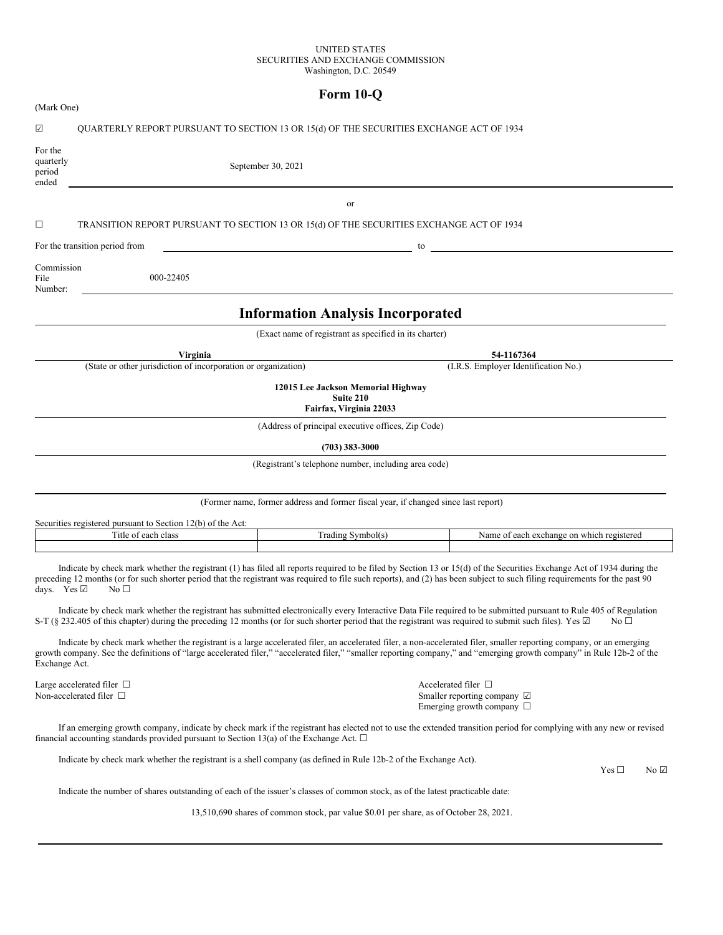## UNITED STATES SECURITIES AND EXCHANGE COMMISSION Washington, D.C. 20549

|                                                               |                                                                                          | Form 10-Q                                                                          |                                                                                                                                                                                                                                                                                                                                                       |  |  |  |
|---------------------------------------------------------------|------------------------------------------------------------------------------------------|------------------------------------------------------------------------------------|-------------------------------------------------------------------------------------------------------------------------------------------------------------------------------------------------------------------------------------------------------------------------------------------------------------------------------------------------------|--|--|--|
| (Mark One)                                                    |                                                                                          |                                                                                    |                                                                                                                                                                                                                                                                                                                                                       |  |  |  |
| $\sqrt{ }$                                                    | QUARTERLY REPORT PURSUANT TO SECTION 13 OR 15(d) OF THE SECURITIES EXCHANGE ACT OF 1934  |                                                                                    |                                                                                                                                                                                                                                                                                                                                                       |  |  |  |
| For the<br>quarterly<br>September 30, 2021<br>period<br>ended |                                                                                          |                                                                                    |                                                                                                                                                                                                                                                                                                                                                       |  |  |  |
|                                                               |                                                                                          | or                                                                                 |                                                                                                                                                                                                                                                                                                                                                       |  |  |  |
| $\Box$                                                        | TRANSITION REPORT PURSUANT TO SECTION 13 OR 15(d) OF THE SECURITIES EXCHANGE ACT OF 1934 |                                                                                    |                                                                                                                                                                                                                                                                                                                                                       |  |  |  |
|                                                               | For the transition period from                                                           | to                                                                                 |                                                                                                                                                                                                                                                                                                                                                       |  |  |  |
| Commission<br>File<br>Number:                                 | 000-22405                                                                                |                                                                                    |                                                                                                                                                                                                                                                                                                                                                       |  |  |  |
|                                                               |                                                                                          | <b>Information Analysis Incorporated</b>                                           |                                                                                                                                                                                                                                                                                                                                                       |  |  |  |
|                                                               |                                                                                          | (Exact name of registrant as specified in its charter)                             |                                                                                                                                                                                                                                                                                                                                                       |  |  |  |
|                                                               | Virginia                                                                                 |                                                                                    | 54-1167364                                                                                                                                                                                                                                                                                                                                            |  |  |  |
|                                                               | (State or other jurisdiction of incorporation or organization)                           |                                                                                    | (I.R.S. Employer Identification No.)                                                                                                                                                                                                                                                                                                                  |  |  |  |
|                                                               |                                                                                          | 12015 Lee Jackson Memorial Highway<br>Suite 210<br>Fairfax, Virginia 22033         |                                                                                                                                                                                                                                                                                                                                                       |  |  |  |
|                                                               |                                                                                          | (Address of principal executive offices, Zip Code)                                 |                                                                                                                                                                                                                                                                                                                                                       |  |  |  |
|                                                               |                                                                                          | $(703)$ 383-3000                                                                   |                                                                                                                                                                                                                                                                                                                                                       |  |  |  |
|                                                               |                                                                                          | (Registrant's telephone number, including area code)                               |                                                                                                                                                                                                                                                                                                                                                       |  |  |  |
|                                                               |                                                                                          | (Former name, former address and former fiscal year, if changed since last report) |                                                                                                                                                                                                                                                                                                                                                       |  |  |  |
|                                                               | Securities registered pursuant to Section 12(b) of the Act:                              |                                                                                    |                                                                                                                                                                                                                                                                                                                                                       |  |  |  |
|                                                               | Title of each class                                                                      | Trading Symbol(s)                                                                  | Name of each exchange on which registered                                                                                                                                                                                                                                                                                                             |  |  |  |
|                                                               |                                                                                          |                                                                                    | Indicate by check mark whether the registrant (1) has filed all reports required to be filed by Section 13 or 15(d) of the Securities Exchange Act of 1934 during the<br>preceding 12 months (or for such shorter period that the registrant was required to file such reports), and (2) has been subject to such filing requirements for the past 90 |  |  |  |

Indicate by check mark whether the registrant has submitted electronically every Interactive Data File required to be submitted pursuant to Rule 405 of Regulation S-T (§ 232.405 of this chapter) during the preceding 12 months (or for such shorter period that the registrant was required to submit such files). Yes ☑ No □

Indicate by check mark whether the registrant is a large accelerated filer, an accelerated filer, a non-accelerated filer, smaller reporting company, or an emerging growth company. See the definitions of "large accelerated filer," "accelerated filer," "smaller reporting company," and "emerging growth company" in Rule 12b-2 of the Exchange Act.

Large accelerated filer □<br>
Non-accelerated filer □<br>
Smaller reporting co

days.  $Yes \n\square$  No  $\square$ 

Smaller reporting company ☑ Emerging growth company □

If an emerging growth company, indicate by check mark if the registrant has elected not to use the extended transition period for complying with any new or revised financial accounting standards provided pursuant to Section 13(a) of the Exchange Act.  $\Box$ 

Indicate by check mark whether the registrant is a shell company (as defined in Rule 12b-2 of the Exchange Act).

Yes □ No ☑

Indicate the number of shares outstanding of each of the issuer's classes of common stock, as of the latest practicable date:

13,510,690 shares of common stock, par value \$0.01 per share, as of October 28, 2021.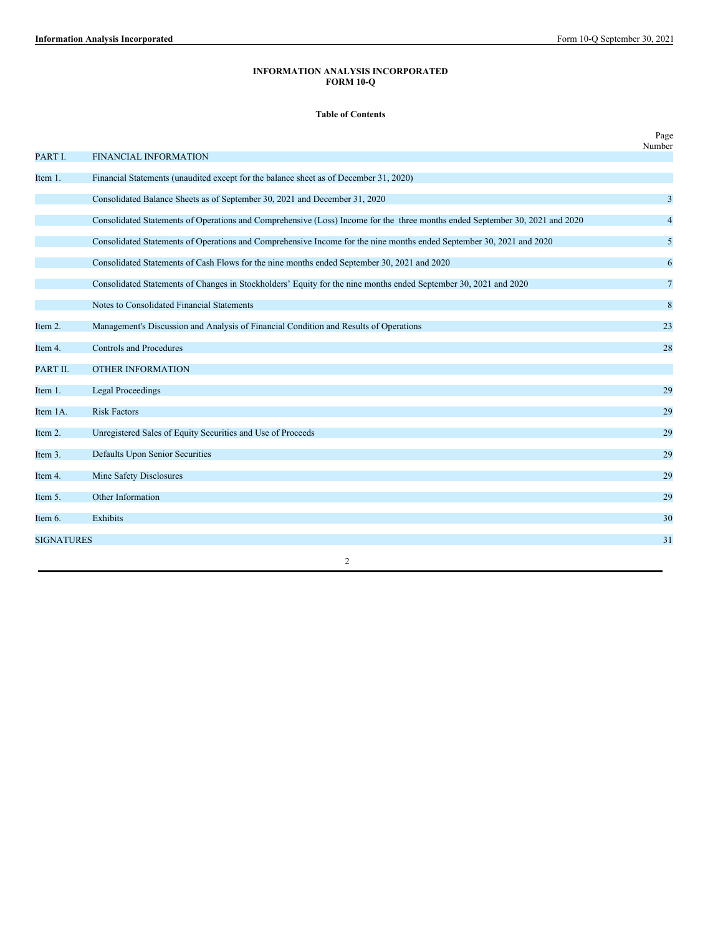### **INFORMATION ANALYSIS INCORPORATED FORM 10-Q**

# **Table of Contents**

|                   |                                                                                                                              | Page<br>Number |
|-------------------|------------------------------------------------------------------------------------------------------------------------------|----------------|
| PART I.           | <b>FINANCIAL INFORMATION</b>                                                                                                 |                |
| Item 1.           | Financial Statements (unaudited except for the balance sheet as of December 31, 2020)                                        |                |
|                   | Consolidated Balance Sheets as of September 30, 2021 and December 31, 2020                                                   | 3              |
|                   | Consolidated Statements of Operations and Comprehensive (Loss) Income for the three months ended September 30, 2021 and 2020 | 4              |
|                   | Consolidated Statements of Operations and Comprehensive Income for the nine months ended September 30, 2021 and 2020         | 5              |
|                   | Consolidated Statements of Cash Flows for the nine months ended September 30, 2021 and 2020                                  | 6              |
|                   | Consolidated Statements of Changes in Stockholders' Equity for the nine months ended September 30, 2021 and 2020             | $\overline{7}$ |
|                   | Notes to Consolidated Financial Statements                                                                                   | $\bf 8$        |
| Item 2.           | Management's Discussion and Analysis of Financial Condition and Results of Operations                                        | 23             |
| Item 4.           | <b>Controls and Procedures</b>                                                                                               | 28             |
| PART II.          | OTHER INFORMATION                                                                                                            |                |
| Item 1.           | <b>Legal Proceedings</b>                                                                                                     | 29             |
| Item 1A.          | <b>Risk Factors</b>                                                                                                          | 29             |
| Item 2.           | Unregistered Sales of Equity Securities and Use of Proceeds                                                                  | 29             |
| Item 3.           | <b>Defaults Upon Senior Securities</b>                                                                                       | 29             |
| Item 4.           | Mine Safety Disclosures                                                                                                      | 29             |
| Item 5.           | Other Information                                                                                                            | 29             |
| Item 6.           | Exhibits                                                                                                                     | 30             |
| <b>SIGNATURES</b> |                                                                                                                              | 31             |
|                   | 2                                                                                                                            |                |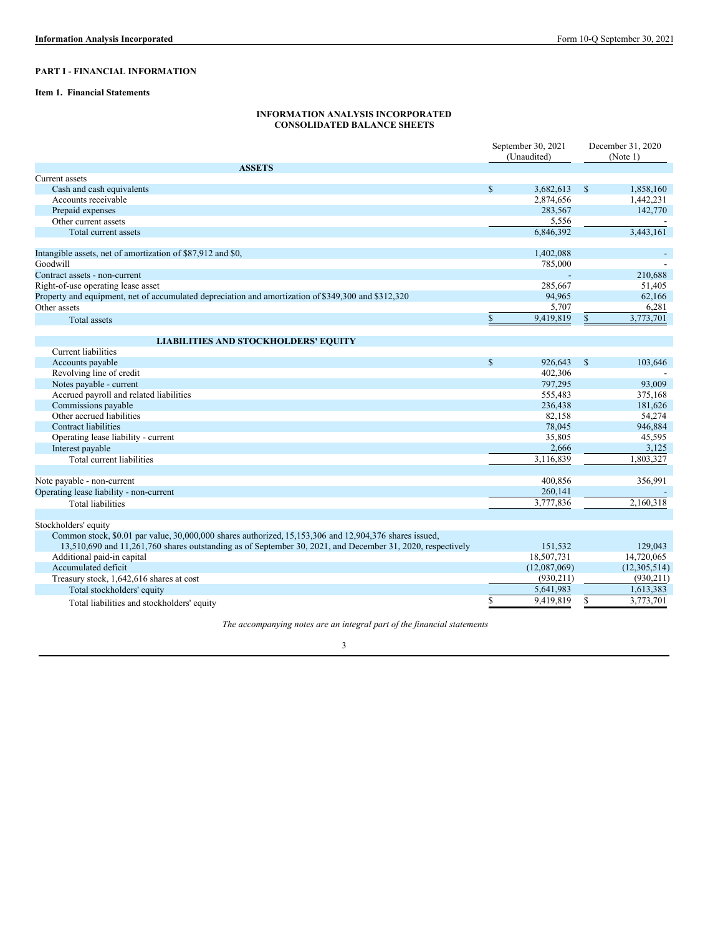# **PART I - FINANCIAL INFORMATION**

# **Item 1. Financial Statements**

# **INFORMATION ANALYSIS INCORPORATED CONSOLIDATED BALANCE SHEETS**

|                                                                                                            |                                                                       | September 30, 2021<br>(Unaudited) |              | December 31, 2020<br>(Note 1) |
|------------------------------------------------------------------------------------------------------------|-----------------------------------------------------------------------|-----------------------------------|--------------|-------------------------------|
| <b>ASSETS</b>                                                                                              |                                                                       |                                   |              |                               |
| Current assets                                                                                             |                                                                       |                                   |              |                               |
| Cash and cash equivalents                                                                                  | $\mathbb{S}$                                                          | 3.682.613                         | $\mathbf{s}$ | 1.858.160                     |
| Accounts receivable                                                                                        |                                                                       | 2,874,656                         |              | 1,442,231                     |
| Prepaid expenses                                                                                           |                                                                       | 283,567                           |              | 142,770                       |
| Other current assets                                                                                       |                                                                       | 5,556                             |              |                               |
| Total current assets                                                                                       |                                                                       | 6.846.392                         |              | 3.443.161                     |
|                                                                                                            |                                                                       |                                   |              |                               |
| Intangible assets, net of amortization of \$87,912 and \$0,                                                |                                                                       | 1,402,088                         |              |                               |
| Goodwill                                                                                                   |                                                                       | 785,000                           |              |                               |
| Contract assets - non-current                                                                              |                                                                       |                                   |              | 210.688                       |
| Right-of-use operating lease asset                                                                         |                                                                       | 285,667                           |              | 51,405                        |
| Property and equipment, net of accumulated depreciation and amortization of \$349,300 and \$312,320        |                                                                       | 94,965                            |              | 62,166                        |
| Other assets                                                                                               |                                                                       | 5,707                             |              | 6,281                         |
| <b>Total assets</b>                                                                                        | $\mathbb{S}% _{t}\left( t\right) \equiv\mathbb{S}_{t}\left( t\right)$ | 9,419,819                         | $\mathbf S$  | 3,773,701                     |
|                                                                                                            |                                                                       |                                   |              |                               |
| <b>LIABILITIES AND STOCKHOLDERS' EQUITY</b>                                                                |                                                                       |                                   |              |                               |
| <b>Current liabilities</b>                                                                                 |                                                                       |                                   |              |                               |
| Accounts payable                                                                                           | $\mathbf S$                                                           | 926.643                           | $\mathbf{s}$ | 103,646                       |
| Revolving line of credit                                                                                   |                                                                       | 402,306                           |              |                               |
| Notes payable - current                                                                                    |                                                                       | 797,295                           |              | 93,009                        |
| Accrued payroll and related liabilities                                                                    |                                                                       | 555,483                           |              | 375,168                       |
| Commissions payable                                                                                        |                                                                       | 236,438                           |              | 181,626                       |
| Other accrued liabilities                                                                                  |                                                                       | 82,158                            |              | 54,274                        |
| <b>Contract liabilities</b>                                                                                |                                                                       | 78,045                            |              | 946,884                       |
| Operating lease liability - current                                                                        |                                                                       | 35,805                            |              | 45,595                        |
| Interest payable                                                                                           |                                                                       | 2.666                             |              | 3.125                         |
| Total current liabilities                                                                                  |                                                                       | 3,116,839                         |              | 1,803,327                     |
|                                                                                                            |                                                                       |                                   |              |                               |
| Note payable - non-current                                                                                 |                                                                       | 400,856                           |              | 356,991                       |
| Operating lease liability - non-current                                                                    |                                                                       | 260,141                           |              |                               |
| <b>Total liabilities</b>                                                                                   |                                                                       | 3,777,836                         |              | 2,160,318                     |
|                                                                                                            |                                                                       |                                   |              |                               |
| Stockholders' equity                                                                                       |                                                                       |                                   |              |                               |
| Common stock, \$0.01 par value, 30,000,000 shares authorized, 15,153,306 and 12,904,376 shares issued,     |                                                                       |                                   |              |                               |
| 13,510,690 and 11,261,760 shares outstanding as of September 30, 2021, and December 31, 2020, respectively |                                                                       | 151,532                           |              | 129,043                       |
| Additional paid-in capital                                                                                 |                                                                       | 18,507,731                        |              | 14,720,065                    |
| Accumulated deficit                                                                                        |                                                                       | (12,087,069)                      |              | (12, 305, 514)                |
| Treasury stock, 1,642,616 shares at cost                                                                   |                                                                       | (930,211)                         |              | (930, 211)                    |
| Total stockholders' equity                                                                                 |                                                                       | 5,641,983                         |              | 1,613,383                     |
|                                                                                                            | S                                                                     | 9,419,819                         | S            | 3,773,701                     |
| Total liabilities and stockholders' equity                                                                 |                                                                       |                                   |              |                               |

*The accompanying notes are an integral part of the financial statements*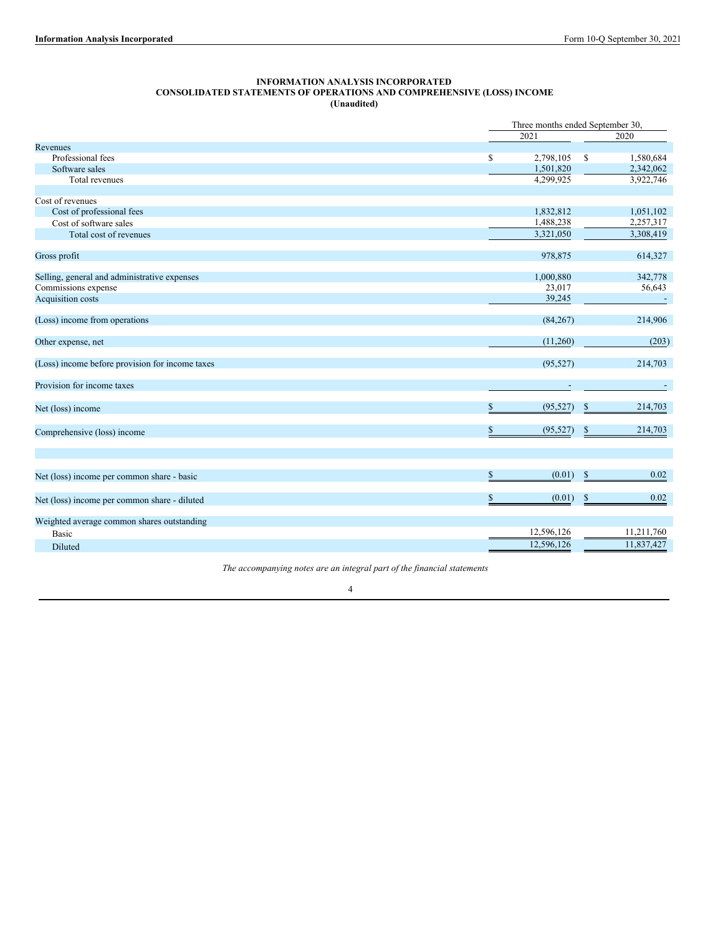### **INFORMATION ANALYSIS INCORPORATED CONSOLIDATED STATEMENTS OF OPERATIONS AND COMPREHENSIVE (LOSS) INCOME (Unaudited)**

|                                                 |              |                | Three months ended September 30, |            |  |  |
|-------------------------------------------------|--------------|----------------|----------------------------------|------------|--|--|
|                                                 |              | 2021           |                                  | 2020       |  |  |
| Revenues                                        |              |                |                                  |            |  |  |
| Professional fees                               | \$           | 2,798,105      | S                                | 1,580,684  |  |  |
| Software sales                                  |              | 1,501,820      |                                  | 2,342,062  |  |  |
| Total revenues                                  |              | 4,299,925      |                                  | 3,922,746  |  |  |
| Cost of revenues                                |              |                |                                  |            |  |  |
| Cost of professional fees                       |              | 1,832,812      |                                  | 1,051,102  |  |  |
| Cost of software sales                          |              | 1,488,238      |                                  | 2,257,317  |  |  |
| Total cost of revenues                          |              | 3,321,050      |                                  | 3,308,419  |  |  |
|                                                 |              |                |                                  |            |  |  |
| Gross profit                                    |              | 978,875        |                                  | 614,327    |  |  |
| Selling, general and administrative expenses    |              | 1,000,880      |                                  | 342,778    |  |  |
| Commissions expense                             |              | 23,017         |                                  | 56,643     |  |  |
| Acquisition costs                               |              | 39,245         |                                  |            |  |  |
|                                                 |              |                |                                  |            |  |  |
| (Loss) income from operations                   |              | (84, 267)      |                                  | 214,906    |  |  |
| Other expense, net                              |              | (11,260)       |                                  | (203)      |  |  |
| (Loss) income before provision for income taxes |              | (95, 527)      |                                  | 214,703    |  |  |
| Provision for income taxes                      |              | $\blacksquare$ |                                  |            |  |  |
| Net (loss) income                               | $\mathbb{S}$ | (95, 527)      |                                  | 214,703    |  |  |
|                                                 |              |                |                                  |            |  |  |
| Comprehensive (loss) income                     | \$           | (95, 527)      | $\mathbb{S}$                     | 214,703    |  |  |
|                                                 |              |                |                                  |            |  |  |
| Net (loss) income per common share - basic      | \$           | (0.01)         | $\mathbb{S}$                     | 0.02       |  |  |
| Net (loss) income per common share - diluted    | $\mathbf S$  | (0.01)         | $\mathbb{S}$                     | 0.02       |  |  |
| Weighted average common shares outstanding      |              |                |                                  |            |  |  |
| <b>Basic</b>                                    |              | 12,596,126     |                                  | 11,211,760 |  |  |
|                                                 |              | 12,596,126     |                                  | 11,837,427 |  |  |
| Diluted                                         |              |                |                                  |            |  |  |

*The accompanying notes are an integral part of the financial statements*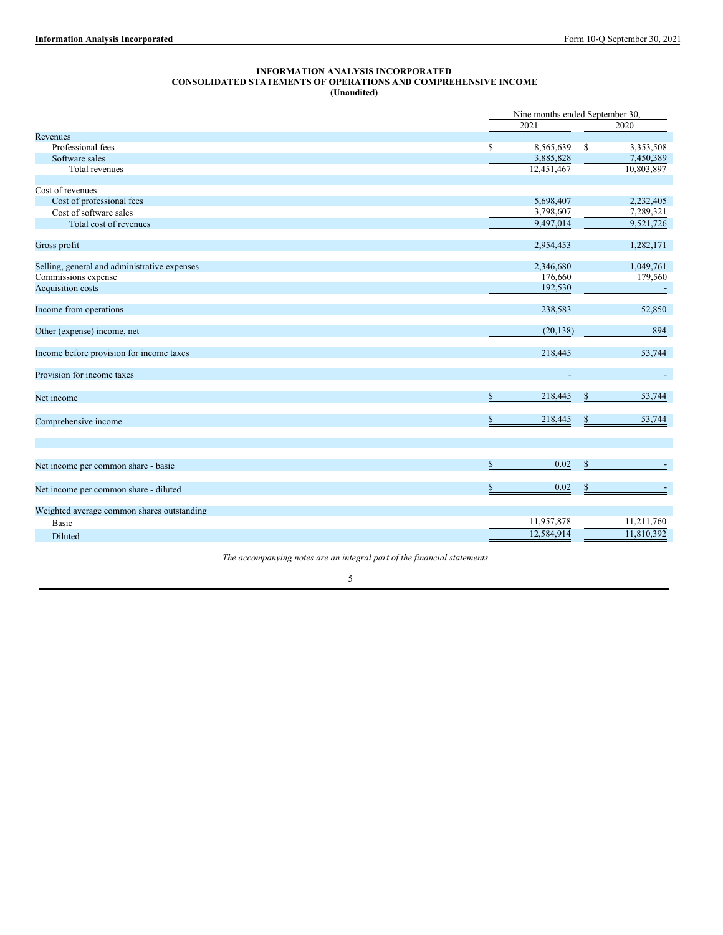### **INFORMATION ANALYSIS INCORPORATED CONSOLIDATED STATEMENTS OF OPERATIONS AND COMPREHENSIVE INCOME (Unaudited)**

|                                              |    | Nine months ended September 30, |              |            |  |  |
|----------------------------------------------|----|---------------------------------|--------------|------------|--|--|
|                                              |    | 2021                            |              | 2020       |  |  |
| Revenues                                     |    |                                 |              |            |  |  |
| Professional fees                            | \$ | 8,565,639                       | $\mathbb{S}$ | 3,353,508  |  |  |
| Software sales                               |    | 3,885,828                       |              | 7,450,389  |  |  |
| Total revenues                               |    | 12,451,467                      |              | 10,803,897 |  |  |
| Cost of revenues                             |    |                                 |              |            |  |  |
| Cost of professional fees                    |    | 5,698,407                       |              | 2,232,405  |  |  |
| Cost of software sales                       |    | 3,798,607                       |              | 7,289,321  |  |  |
| Total cost of revenues                       |    | 9,497,014                       |              | 9,521,726  |  |  |
| Gross profit                                 |    | 2,954,453                       |              | 1,282,171  |  |  |
| Selling, general and administrative expenses |    | 2,346,680                       |              | 1,049,761  |  |  |
| Commissions expense                          |    | 176,660                         |              | 179,560    |  |  |
| Acquisition costs                            |    | 192,530                         |              |            |  |  |
| Income from operations                       |    | 238,583                         |              | 52,850     |  |  |
| Other (expense) income, net                  |    | (20, 138)                       |              | 894        |  |  |
| Income before provision for income taxes     |    | 218,445                         |              | 53,744     |  |  |
| Provision for income taxes                   |    |                                 |              |            |  |  |
| Net income                                   | S  | 218,445                         |              | 53,744     |  |  |
| Comprehensive income                         | \$ | 218,445                         | S            | 53,744     |  |  |
|                                              |    |                                 |              |            |  |  |
| Net income per common share - basic          | S  | 0.02                            | $\mathbb{S}$ |            |  |  |
| Net income per common share - diluted        | S  | 0.02                            | \$           |            |  |  |
| Weighted average common shares outstanding   |    |                                 |              |            |  |  |
| Basic                                        |    | 11,957,878                      |              | 11,211,760 |  |  |
|                                              |    | 12,584,914                      |              | 11,810,392 |  |  |
| Diluted                                      |    |                                 |              |            |  |  |

*The accompanying notes are an integral part of the financial statements*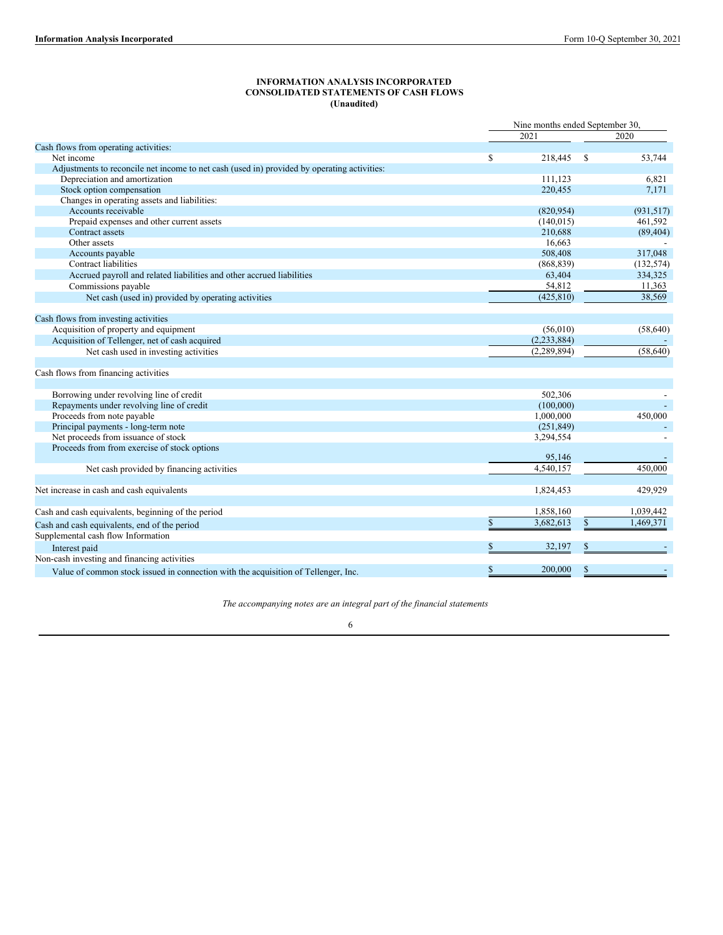### **INFORMATION ANALYSIS INCORPORATED CONSOLIDATED STATEMENTS OF CASH FLOWS (Unaudited)**

|                                                                                             |    | Nine months ended September 30, |              |            |  |
|---------------------------------------------------------------------------------------------|----|---------------------------------|--------------|------------|--|
|                                                                                             |    | 2021                            |              | 2020       |  |
| Cash flows from operating activities:                                                       |    |                                 |              |            |  |
| Net income                                                                                  | S  | 218,445                         | <sup>S</sup> | 53,744     |  |
| Adjustments to reconcile net income to net cash (used in) provided by operating activities: |    |                                 |              |            |  |
| Depreciation and amortization                                                               |    | 111,123                         |              | 6,821      |  |
| Stock option compensation                                                                   |    | 220,455                         |              | 7,171      |  |
| Changes in operating assets and liabilities:                                                |    |                                 |              |            |  |
| Accounts receivable                                                                         |    | (820, 954)                      |              | (931, 517) |  |
| Prepaid expenses and other current assets                                                   |    | (140.015)                       |              | 461,592    |  |
| Contract assets                                                                             |    | 210,688                         |              | (89, 404)  |  |
| Other assets                                                                                |    | 16,663                          |              |            |  |
| Accounts payable                                                                            |    | 508,408                         |              | 317,048    |  |
| Contract liabilities                                                                        |    | (868, 839)                      |              | (132, 574) |  |
| Accrued payroll and related liabilities and other accrued liabilities                       |    | 63,404                          |              | 334,325    |  |
| Commissions payable                                                                         |    | 54,812                          |              | 11,363     |  |
| Net cash (used in) provided by operating activities                                         |    | (425, 810)                      |              | 38,569     |  |
| Cash flows from investing activities                                                        |    |                                 |              |            |  |
| Acquisition of property and equipment                                                       |    | (56,010)                        |              | (58, 640)  |  |
| Acquisition of Tellenger, net of cash acquired                                              |    | (2, 233, 884)                   |              |            |  |
| Net cash used in investing activities                                                       |    | (2, 289, 894)                   |              | (58, 640)  |  |
| Cash flows from financing activities                                                        |    |                                 |              |            |  |
| Borrowing under revolving line of credit                                                    |    | 502,306                         |              |            |  |
| Repayments under revolving line of credit                                                   |    | (100,000)                       |              |            |  |
| Proceeds from note payable                                                                  |    | 1,000,000                       |              | 450,000    |  |
| Principal payments - long-term note                                                         |    | (251, 849)                      |              |            |  |
| Net proceeds from issuance of stock                                                         |    | 3,294,554                       |              |            |  |
| Proceeds from from exercise of stock options                                                |    |                                 |              |            |  |
|                                                                                             |    | 95.146                          |              |            |  |
| Net cash provided by financing activities                                                   |    | 4,540,157                       |              | 450,000    |  |
| Net increase in cash and cash equivalents                                                   |    | 1,824,453                       |              | 429,929    |  |
|                                                                                             |    |                                 |              |            |  |
| Cash and cash equivalents, beginning of the period                                          |    | 1,858,160                       |              | 1,039,442  |  |
| Cash and cash equivalents, end of the period                                                | \$ | 3,682,613                       | S            | 1,469,371  |  |
| Supplemental cash flow Information                                                          |    |                                 |              |            |  |
| Interest paid                                                                               | \$ | 32,197                          |              |            |  |
| Non-cash investing and financing activities                                                 |    |                                 |              |            |  |
| Value of common stock issued in connection with the acquisition of Tellenger, Inc.          | \$ | 200,000                         | $\mathbb{S}$ |            |  |

*The accompanying notes are an integral part of the financial statements*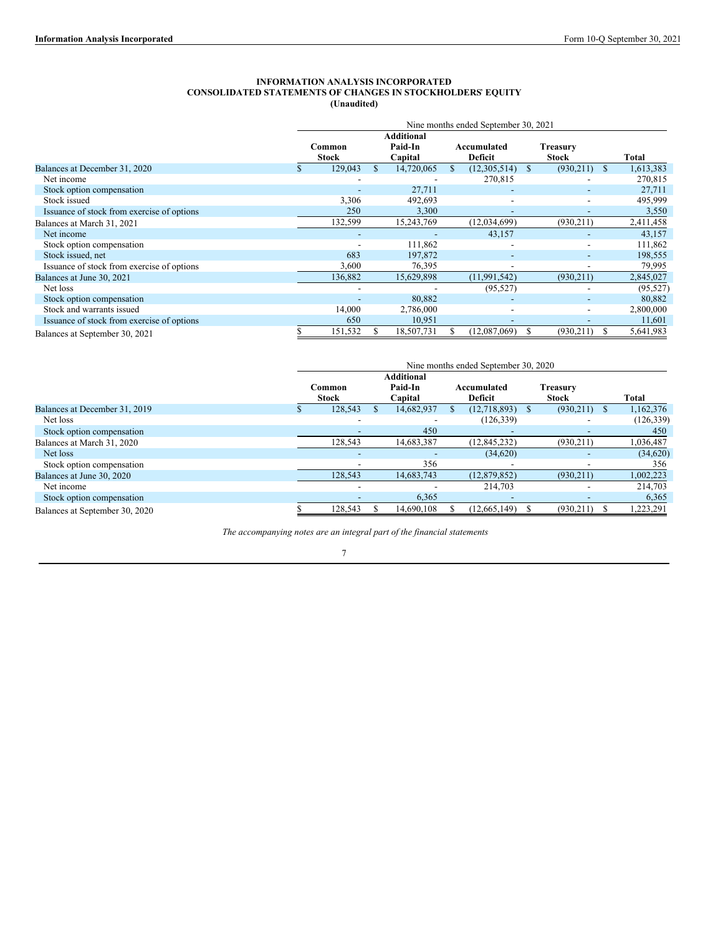### **INFORMATION ANALYSIS INCORPORATED CONSOLIDATED STATEMENTS OF CHANGES IN STOCKHOLDERS**' **EQUITY (Unaudited)**

|                                            | Nine months ended September 30, 2021 |                          |     |                                         |  |                               |               |                                 |              |           |
|--------------------------------------------|--------------------------------------|--------------------------|-----|-----------------------------------------|--|-------------------------------|---------------|---------------------------------|--------------|-----------|
|                                            |                                      | Common<br><b>Stock</b>   |     | <b>Additional</b><br>Paid-In<br>Capital |  | Accumulated<br><b>Deficit</b> |               | <b>Treasury</b><br><b>Stock</b> |              | Total     |
| Balances at December 31, 2020              |                                      | 129,043                  | \$. | 14,720,065                              |  | (12,305,514)                  | <sup>\$</sup> | (930, 211)                      | <sup>S</sup> | 1,613,383 |
| Net income                                 |                                      |                          |     |                                         |  | 270,815                       |               |                                 |              | 270,815   |
| Stock option compensation                  |                                      | $\overline{\phantom{a}}$ |     | 27,711                                  |  | ٠                             |               | $\overline{\phantom{a}}$        |              | 27,711    |
| Stock issued                               |                                      | 3,306                    |     | 492,693                                 |  | ۰                             |               |                                 |              | 495,999   |
| Issuance of stock from exercise of options |                                      | 250                      |     | 3,300                                   |  | $\overline{\phantom{0}}$      |               | $\overline{\phantom{a}}$        |              | 3,550     |
| Balances at March 31, 2021                 |                                      | 132,599                  |     | 15,243,769                              |  | (12, 034, 699)                |               | (930, 211)                      |              | 2,411,458 |
| Net income                                 |                                      | $\overline{\phantom{0}}$ |     |                                         |  | 43,157                        |               | $\overline{\phantom{a}}$        |              | 43,157    |
| Stock option compensation                  |                                      |                          |     | 111,862                                 |  |                               |               |                                 |              | 111,862   |
| Stock issued, net                          |                                      | 683                      |     | 197,872                                 |  | $\overline{\phantom{a}}$      |               |                                 |              | 198,555   |
| Issuance of stock from exercise of options |                                      | 3,600                    |     | 76,395                                  |  | ٠                             |               |                                 |              | 79,995    |
| Balances at June 30, 2021                  |                                      | 136,882                  |     | 15,629,898                              |  | (11, 991, 542)                |               | (930, 211)                      |              | 2,845,027 |
| Net loss                                   |                                      |                          |     |                                         |  | (95, 527)                     |               |                                 |              | (95, 527) |
| Stock option compensation                  |                                      |                          |     | 80,882                                  |  |                               |               |                                 |              | 80,882    |
| Stock and warrants issued                  |                                      | 14,000                   |     | 2,786,000                               |  | ٠                             |               |                                 |              | 2,800,000 |
| Issuance of stock from exercise of options |                                      | 650                      |     | 10,951                                  |  | $\overline{\phantom{a}}$      |               | $\overline{\phantom{a}}$        |              | 11,601    |
| Balances at September 30, 2021             |                                      | 151,532                  |     | 18,507,731                              |  | (12,087,069)                  | S             | (930, 211)                      | S            | 5,641,983 |

|                                | Nine months ended September 30, 2020 |                        |  |                                         |  |                        |  |                                 |  |            |  |
|--------------------------------|--------------------------------------|------------------------|--|-----------------------------------------|--|------------------------|--|---------------------------------|--|------------|--|
|                                |                                      | Common<br><b>Stock</b> |  | <b>Additional</b><br>Paid-In<br>Capital |  | Accumulated<br>Deficit |  | <b>Treasury</b><br><b>Stock</b> |  | Total      |  |
| Balances at December 31, 2019  |                                      | 128,543                |  | 14,682,937                              |  | (12,718,893)           |  | (930,211)                       |  | 1,162,376  |  |
| Net loss                       |                                      |                        |  |                                         |  | (126, 339)             |  |                                 |  | (126, 339) |  |
| Stock option compensation      |                                      |                        |  | 450                                     |  | -                      |  |                                 |  | 450        |  |
| Balances at March 31, 2020     |                                      | 128,543                |  | 14,683,387                              |  | (12, 845, 232)         |  | (930, 211)                      |  | 1,036,487  |  |
| Net loss                       |                                      |                        |  |                                         |  | (34,620)               |  |                                 |  | (34,620)   |  |
| Stock option compensation      |                                      |                        |  | 356                                     |  | -                      |  |                                 |  | 356        |  |
| Balances at June 30, 2020      |                                      | 128,543                |  | 14,683,743                              |  | (12,879,852)           |  | (930, 211)                      |  | 1,002,223  |  |
| Net income                     |                                      |                        |  |                                         |  | 214,703                |  |                                 |  | 214,703    |  |
| Stock option compensation      |                                      |                        |  | 6,365                                   |  |                        |  |                                 |  | 6,365      |  |
| Balances at September 30, 2020 |                                      | 128,543                |  | 14,690,108                              |  | (12, 665, 149)         |  | (930, 211)                      |  | 1,223,291  |  |

*The accompanying notes are an integral part of the financial statements*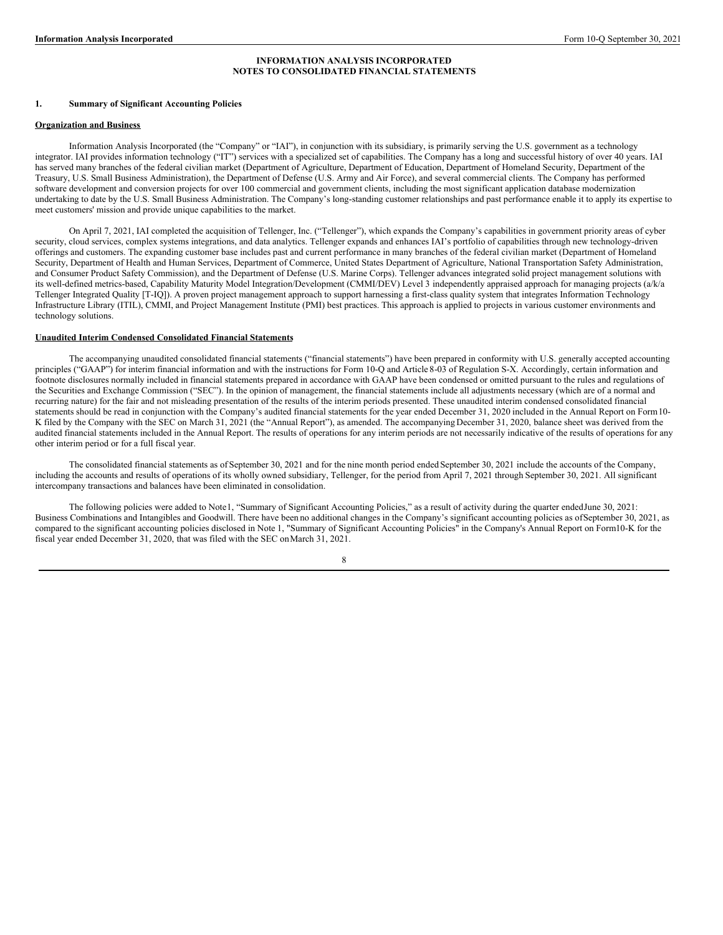# **INFORMATION ANALYSIS INCORPORATED NOTES TO CONSOLIDATED FINANCIAL STATEMENTS**

# **1. Summary of Significant Accounting Policies**

### **Organization and Business**

Information Analysis Incorporated (the "Company" or "IAI"), in conjunction with its subsidiary, is primarily serving the U.S. government as a technology integrator. IAI provides information technology ("IT") services with a specialized set of capabilities. The Company has a long and successful history of over 40 years. IAI has served many branches of the federal civilian market (Department of Agriculture, Department of Education, Department of Homeland Security, Department of the Treasury, U.S. Small Business Administration), the Department of Defense (U.S. Army and Air Force), and several commercial clients. The Company has performed software development and conversion projects for over 100 commercial and government clients, including the most significant application database modernization undertaking to date by the U.S. Small Business Administration. The Company's long-standing customer relationships and past performance enable it to apply its expertise to meet customers' mission and provide unique capabilities to the market.

On April 7, 2021, IAI completed the acquisition of Tellenger, Inc. ("Tellenger"), which expands the Company's capabilities in government priority areas of cyber security, cloud services, complex systems integrations, and data analytics. Tellenger expands and enhances IAI's portfolio of capabilities through new technology-driven offerings and customers. The expanding customer base includes past and current performance in many branches of the federal civilian market (Department of Homeland Security, Department of Health and Human Services, Department of Commerce, United States Department of Agriculture, National Transportation Safety Administration, and Consumer Product Safety Commission), and the Department of Defense (U.S. Marine Corps). Tellenger advances integrated solid project management solutions with its well-defined metrics-based, Capability Maturity Model Integration/Development (CMMI/DEV) Level 3 independently appraised approach for managing projects (a/k/a Tellenger Integrated Quality [T-IQ]). A proven project management approach to support harnessing a first-class quality system that integrates Information Technology Infrastructure Library (ITIL), CMMI, and Project Management Institute (PMI) best practices. This approach is applied to projects in various customer environments and technology solutions.

## **Unaudited Interim Condensed Consolidated Financial Statements**

The accompanying unaudited consolidated financial statements ("financial statements") have been prepared in conformity with U.S. generally accepted accounting principles ("GAAP") for interim financial information and with the instructions for Form 10-Q and Article 8-03 of Regulation S-X. Accordingly, certain information and footnote disclosures normally included in financial statements prepared in accordance with GAAP have been condensed or omitted pursuant to the rules and regulations of the Securities and Exchange Commission ("SEC"). In the opinion of management, the financial statements include all adjustments necessary (which are of a normal and recurring nature) for the fair and not misleading presentation of the results of the interim periods presented. These unaudited interim condensed consolidated financial statements should be read in conjunction with the Company's audited financial statements for the year ended December 31, 2020 included in the Annual Report on Form10- K filed by the Company with the SEC on March 31, 2021 (the "Annual Report"), as amended. The accompanying December 31, 2020, balance sheet was derived from the audited financial statements included in the Annual Report. The results of operations for any interim periods are not necessarily indicative of the results of operations for any other interim period or for a full fiscal year.

The consolidated financial statements as of September 30, 2021 and for the nine month period ended September 30, 2021 include the accounts of the Company, including the accounts and results of operations of its wholly owned subsidiary, Tellenger, for the period from April 7, 2021 through September 30, 2021. All significant intercompany transactions and balances have been eliminated in consolidation.

The following policies were added to Note1, "Summary of Significant Accounting Policies," as a result of activity during the quarter endedJune 30, 2021: Business Combinations and Intangibles and Goodwill. There have been no additional changes in the Company's significant accounting policies as ofSeptember 30, 2021, as compared to the significant accounting policies disclosed in Note 1, "Summary of Significant Accounting Policies" in the Company's Annual Report on Form10-K for the fiscal year ended December 31, 2020, that was filed with the SEC onMarch 31, 2021.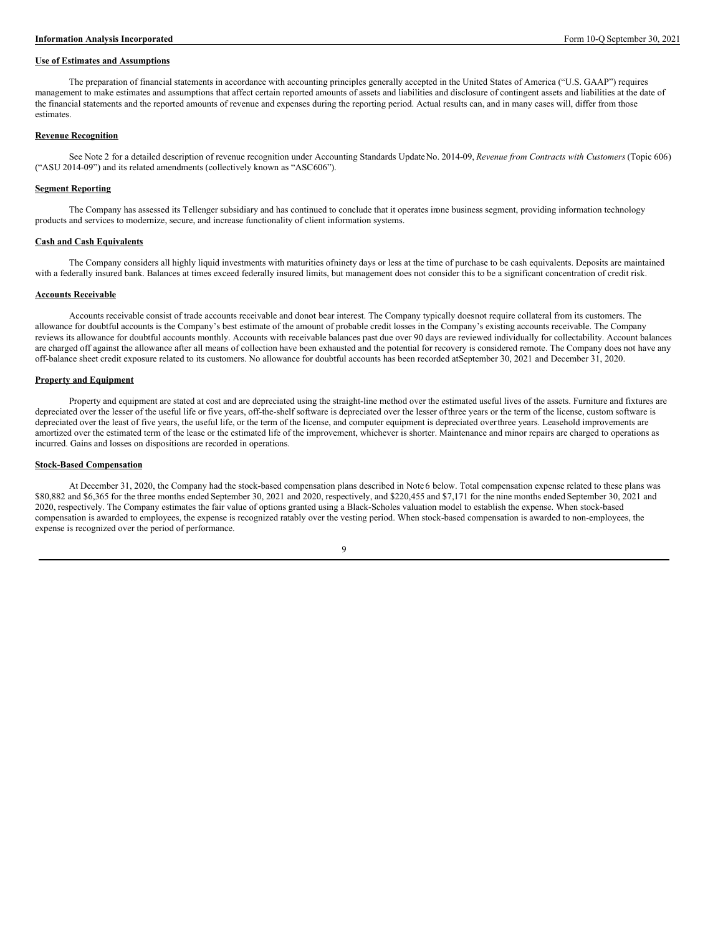## **Use of Estimates and Assumptions**

The preparation of financial statements in accordance with accounting principles generally accepted in the United States of America ("U.S. GAAP") requires management to make estimates and assumptions that affect certain reported amounts of assets and liabilities and disclosure of contingent assets and liabilities at the date of the financial statements and the reported amounts of revenue and expenses during the reporting period. Actual results can, and in many cases will, differ from those estimates.

# **Revenue Recognition**

See Note 2 for a detailed description of revenue recognition under Accounting Standards UpdateNo. 2014-09, *Revenue from Contracts with Customers* (Topic 606) ("ASU 2014-09") and its related amendments (collectively known as "ASC606").

#### **Segment Reporting**

The Company has assessed its Tellenger subsidiary and has continued to conclude that it operates inone business segment, providing information technology products and services to modernize, secure, and increase functionality of client information systems.

## **Cash and Cash Equivalents**

The Company considers all highly liquid investments with maturities ofninety days or less at the time of purchase to be cash equivalents. Deposits are maintained with a federally insured bank. Balances at times exceed federally insured limits, but management does not consider this to be a significant concentration of credit risk.

#### **Accounts Receivable**

Accounts receivable consist of trade accounts receivable and donot bear interest. The Company typically doesnot require collateral from its customers. The allowance for doubtful accounts is the Company's best estimate of the amount of probable credit losses in the Company's existing accounts receivable. The Company reviews its allowance for doubtful accounts monthly. Accounts with receivable balances past due over 90 days are reviewed individually for collectability. Account balances are charged off against the allowance after all means of collection have been exhausted and the potential for recovery is considered remote. The Company does not have any off-balance sheet credit exposure related to its customers. No allowance for doubtful accounts has been recorded atSeptember 30, 2021 and December 31, 2020.

### **Property and Equipment**

Property and equipment are stated at cost and are depreciated using the straight-line method over the estimated useful lives of the assets. Furniture and fixtures are depreciated over the lesser of the useful life or five years, off-the-shelf software is depreciated over the lesser ofthree years or the term of the license, custom software is depreciated over the least of five years, the useful life, or the term of the license, and computer equipment is depreciated over three years. Leasehold improvements are amortized over the estimated term of the lease or the estimated life of the improvement, whichever is shorter. Maintenance and minor repairs are charged to operations as incurred. Gains and losses on dispositions are recorded in operations.

# **Stock-Based Compensation**

At December 31, 2020, the Company had the stock-based compensation plans described in Note 6 below. Total compensation expense related to these plans was \$80,882 and \$6,365 for the three months ended September 30, 2021 and 2020, respectively, and \$220,455 and \$7,171 for the nine months ended September 30, 2021 and 2020, respectively. The Company estimates the fair value of options granted using a Black-Scholes valuation model to establish the expense. When stock-based compensation is awarded to employees, the expense is recognized ratably over the vesting period. When stock-based compensation is awarded to non-employees, the expense is recognized over the period of performance.

 $\overline{Q}$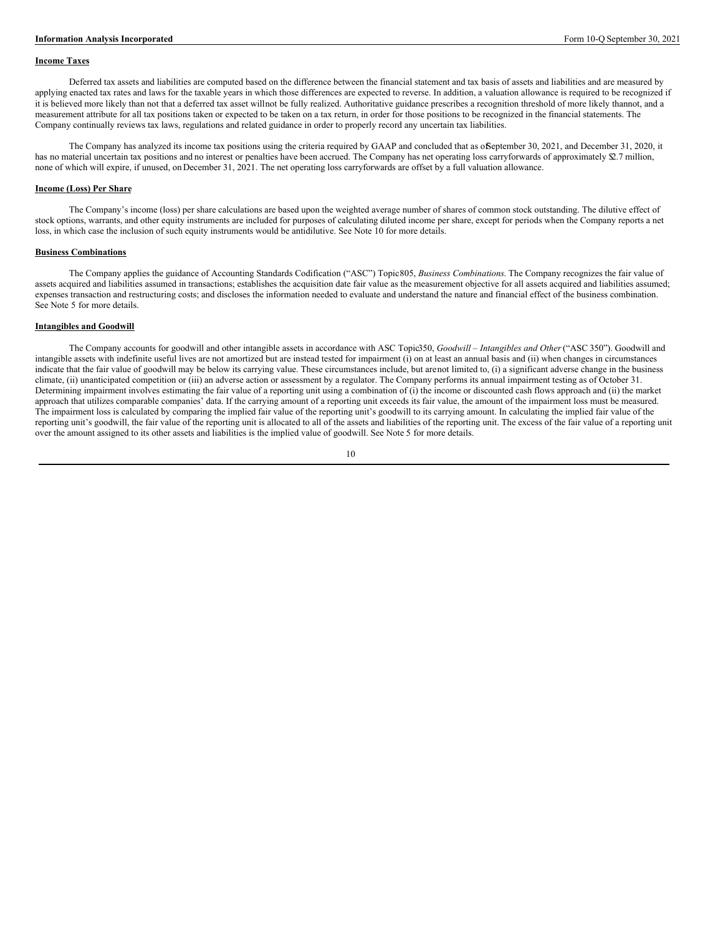#### **Income Taxes**

Deferred tax assets and liabilities are computed based on the difference between the financial statement and tax basis of assets and liabilities and are measured by applying enacted tax rates and laws for the taxable years in which those differences are expected to reverse. In addition, a valuation allowance is required to be recognized if it is believed more likely than not that a deferred tax asset willnot be fully realized. Authoritative guidance prescribes a recognition threshold of more likely thannot, and a measurement attribute for all tax positions taken or expected to be taken on a tax return, in order for those positions to be recognized in the financial statements. The Company continually reviews tax laws, regulations and related guidance in order to properly record any uncertain tax liabilities.

The Company has analyzed its income tax positions using the criteria required by GAAP and concluded that as of September 30, 2021, and December 31, 2020, it has no material uncertain tax positions and no interest or penalties have been accrued. The Company has net operating loss carryforwards of approximately  $\mathcal{L}$ .7 million, none of which will expire, if unused, onDecember 31, 2021. The net operating loss carryforwards are offset by a full valuation allowance.

# **Income (Loss) Per Share**

The Company's income (loss) per share calculations are based upon the weighted average number of shares of common stock outstanding. The dilutive effect of stock options, warrants, and other equity instruments are included for purposes of calculating diluted income per share, except for periods when the Company reports a net loss, in which case the inclusion of such equity instruments would be antidilutive. See Note 10 for more details.

# **Business Combinations**

The Company applies the guidance of Accounting Standards Codification ("ASC") Topic805, *Business Combinations*. The Company recognizes the fair value of assets acquired and liabilities assumed in transactions; establishes the acquisition date fair value as the measurement objective for all assets acquired and liabilities assumed; expenses transaction and restructuring costs; and discloses the information needed to evaluate and understand the nature and financial effect of the business combination. See Note 5 for more details.

### **Intangibles and Goodwill**

The Company accounts for goodwill and other intangible assets in accordance with ASC Topic350, *Goodwill* – *Intangibles and Other*("ASC 350"). Goodwill and intangible assets with indefinite useful lives are not amortized but are instead tested for impairment (i) on at least an annual basis and (ii) when changes in circumstances indicate that the fair value of goodwill may be below its carrying value. These circumstances include, but arenot limited to, (i) a significant adverse change in the business climate, (ii) unanticipated competition or (iii) an adverse action or assessment by a regulator. The Company performs its annual impairment testing as of October 31. Determining impairment involves estimating the fair value of a reporting unit using a combination of (i) the income or discounted cash flows approach and (ii) the market approach that utilizes comparable companies' data. If the carrying amount of a reporting unit exceeds its fair value, the amount of the impairment loss must be measured. The impairment loss is calculated by comparing the implied fair value of the reporting unit's goodwill to its carrying amount. In calculating the implied fair value of the reporting unit's goodwill, the fair value of the reporting unit is allocated to all of the assets and liabilities of the reporting unit. The excess of the fair value of a reporting unit over the amount assigned to its other assets and liabilities is the implied value of goodwill. See Note 5 for more details.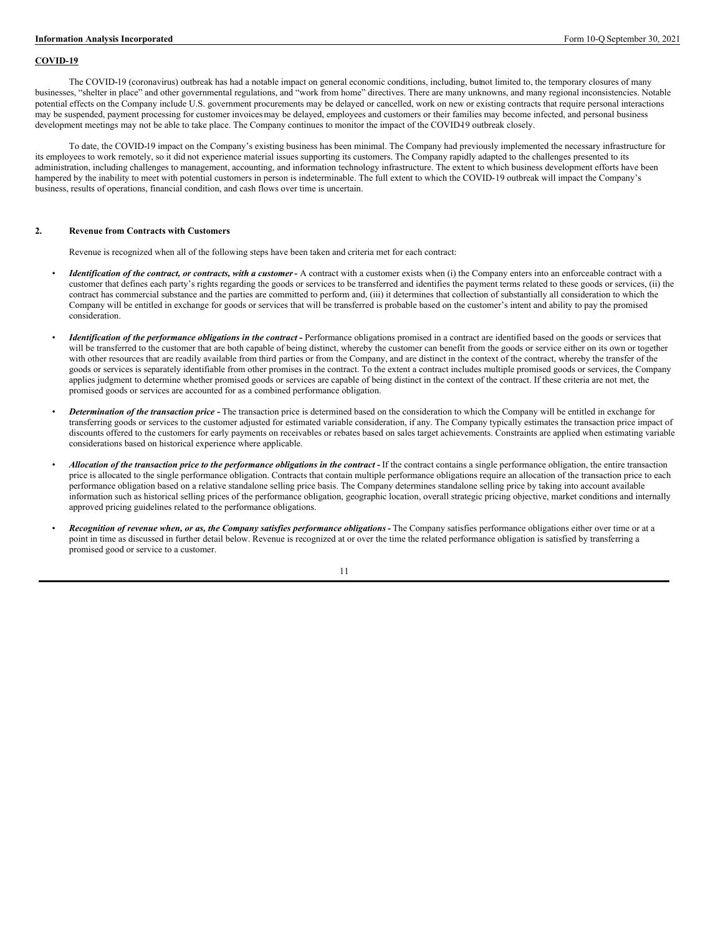### **COVID-19**

The COVID-19 (coronavirus) outbreak has had a notable impact on general economic conditions, including, butnot limited to, the temporary closures of many businesses, "shelter in place" and other governmental regulations, and "work from home" directives. There are many unknowns, and many regional inconsistencies. Notable potential effects on the Company include U.S. government procurements may be delayed or cancelled, work on new or existing contracts that require personal interactions may be suspended, payment processing for customer invoicesmay be delayed, employees and customers or their families may become infected, and personal business development meetings may not be able to take place. The Company continues to monitor the impact of the COVID-19 outbreak closely.

To date, the COVID-19 impact on the Company's existing business has been minimal. The Company had previously implemented the necessary infrastructure for its employees to work remotely, so it did not experience material issues supporting its customers. The Company rapidly adapted to the challenges presented to its administration, including challenges to management, accounting, and information technology infrastructure. The extent to which business development efforts have been hampered by the inability to meet with potential customers in person is indeterminable. The full extent to which the COVID-19 outbreak will impact the Company's business, results of operations, financial condition, and cash flows over time is uncertain.

#### **2. Revenue from Contracts with Customers**

Revenue is recognized when all of the following steps have been taken and criteria met for each contract:

- Identification of the contract, or contracts, with a customer-A contract with a customer exists when (i) the Company enters into an enforceable contract with a customer that defines each party's rights regarding the goods or services to be transferred and identifies the payment terms related to these goods or services, (ii) the contract has commercial substance and the parties are committed to perform and, (iii) it determines that collection of substantially all consideration to which the Company will be entitled in exchange for goods or services that will be transferred is probable based on the customer's intent and ability to pay the promised consideration.
- *Identification of the performance obligations in the contract* Performance obligations promised in a contract are identified based on the goods or services that will be transferred to the customer that are both capable of being distinct, whereby the customer can benefit from the goods or service either on its own or together with other resources that are readily available from third parties or from the Company, and are distinct in the context of the contract, whereby the transfer of the goods or services is separately identifiable from other promises in the contract. To the extent a contract includes multiple promised goods or services, the Company applies judgment to determine whether promised goods or services are capable of being distinct in the context of the contract. If these criteria are not met, the promised goods or services are accounted for as a combined performance obligation.
- *Determination of the transaction price* **-** The transaction price is determined based on the consideration to which the Company will be entitled in exchange for transferring goods or services to the customer adjusted for estimated variable consideration, if any. The Company typically estimates the transaction price impact of discounts offered to the customers for early payments on receivables or rebates based on sales target achievements. Constraints are applied when estimating variable considerations based on historical experience where applicable.
- Allocation of the transaction price to the performance obligations in the contract If the contract contains a single performance obligation, the entire transaction price is allocated to the single performance obligation. Contracts that contain multiple performance obligations require an allocation of the transaction price to each performance obligation based on a relative standalone selling price basis. The Company determines standalone selling price by taking into account available information such as historical selling prices of the performance obligation, geographic location, overall strategic pricing objective, market conditions and internally approved pricing guidelines related to the performance obligations.
- Recognition of revenue when, or as, the Company satisfies performance obligations The Company satisfies performance obligations either over time or at a point in time as discussed in further detail below. Revenue is recognized at or over the time the related performance obligation is satisfied by transferring a promised good or service to a customer.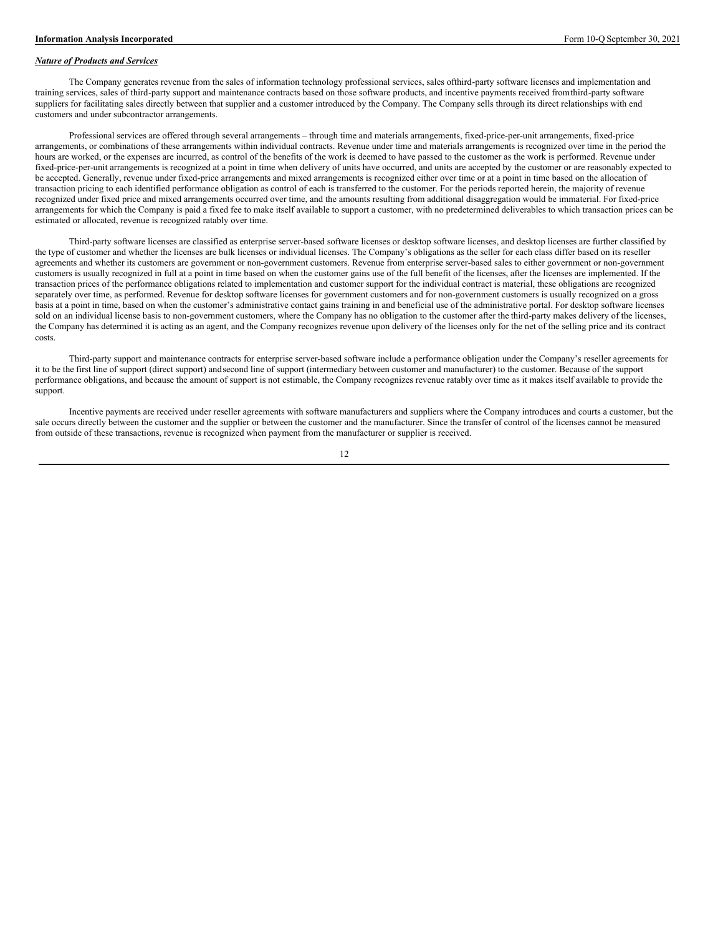### *Nature of Products and Services*

The Company generates revenue from the sales of information technology professional services, sales ofthird-party software licenses and implementation and training services, sales of third-party support and maintenance contracts based on those software products, and incentive payments received fromthird-party software suppliers for facilitating sales directly between that supplier and a customer introduced by the Company. The Company sells through its direct relationships with end customers and under subcontractor arrangements.

Professional services are offered through several arrangements – through time and materials arrangements, fixed-price-per-unit arrangements, fixed-price arrangements, or combinations of these arrangements within individual contracts. Revenue under time and materials arrangements is recognized over time in the period the hours are worked, or the expenses are incurred, as control of the benefits of the work is deemed to have passed to the customer as the work is performed. Revenue under fixed-price-per-unit arrangements is recognized at a point in time when delivery of units have occurred, and units are accepted by the customer or are reasonably expected to be accepted. Generally, revenue under fixed-price arrangements and mixed arrangements is recognized either over time or at a point in time based on the allocation of transaction pricing to each identified performance obligation as control of each is transferred to the customer. For the periods reported herein, the majority of revenue recognized under fixed price and mixed arrangements occurred over time, and the amounts resulting from additional disaggregation would be immaterial. For fixed-price arrangements for which the Company is paid a fixed fee to make itself available to support a customer, with no predetermined deliverables to which transaction prices can be estimated or allocated, revenue is recognized ratably over time.

Third-party software licenses are classified as enterprise server-based software licenses or desktop software licenses, and desktop licenses are further classified by the type of customer and whether the licenses are bulk licenses or individual licenses. The Company's obligations as the seller for each class differ based on its reseller agreements and whether its customers are government or non-government customers. Revenue from enterprise server-based sales to either government or non-government customers is usually recognized in full at a point in time based on when the customer gains use of the full benefit of the licenses, after the licenses are implemented. If the transaction prices of the performance obligations related to implementation and customer support for the individual contract is material, these obligations are recognized separately over time, as performed. Revenue for desktop software licenses for government customers and for non-government customers is usually recognized on a gross basis at a point in time, based on when the customer's administrative contact gains training in and beneficial use of the administrative portal. For desktop software licenses sold on an individual license basis to non-government customers, where the Company has no obligation to the customer after the third-party makes delivery of the licenses, the Company has determined it is acting as an agent, and the Company recognizes revenue upon delivery of the licenses only for the net of the selling price and its contract costs.

Third-party support and maintenance contracts for enterprise server-based software include a performance obligation under the Company's reseller agreements for it to be the first line of support (direct support) andsecond line of support (intermediary between customer and manufacturer) to the customer. Because of the support performance obligations, and because the amount of support is not estimable, the Company recognizes revenue ratably over time as it makes itself available to provide the support.

Incentive payments are received under reseller agreements with software manufacturers and suppliers where the Company introduces and courts a customer, but the sale occurs directly between the customer and the supplier or between the customer and the manufacturer. Since the transfer of control of the licenses cannot be measured from outside of these transactions, revenue is recognized when payment from the manufacturer or supplier is received.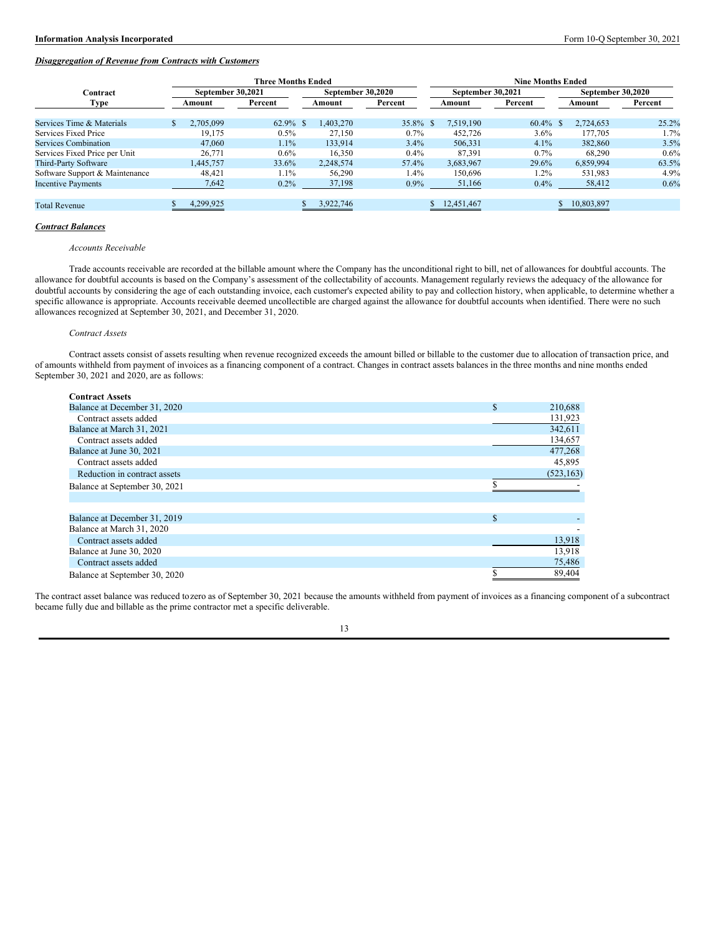# *Disaggregation of Revenue from Contracts with Customers*

| <b>Three Months Ended</b>      |  |                                        |         |             |        |           |  |             | <b>Nine Months Ended</b> |                                        |         |          |  |            |         |  |  |  |  |
|--------------------------------|--|----------------------------------------|---------|-------------|--------|-----------|--|-------------|--------------------------|----------------------------------------|---------|----------|--|------------|---------|--|--|--|--|
| Contract<br>Type               |  | September 30,2020<br>September 30,2021 |         |             |        |           |  |             |                          | September 30,2020<br>September 30,2021 |         |          |  |            |         |  |  |  |  |
|                                |  | Amount                                 | Percent |             | Amount |           |  | Percent     |                          | Amount                                 | Percent |          |  | Amount     | Percent |  |  |  |  |
| Services Time & Materials      |  | 2.705.099                              |         | $62.9\%$ \$ |        | 1,403,270 |  | $35.8\%$ \$ |                          | 7.519.190                              |         | $60.4\%$ |  | 2.724.653  | 25.2%   |  |  |  |  |
|                                |  |                                        |         |             |        |           |  |             |                          |                                        |         |          |  |            |         |  |  |  |  |
| Services Fixed Price           |  | 19.175                                 |         | $0.5\%$     |        | 27,150    |  | 0.7%        |                          | 452,726                                |         | $3.6\%$  |  | 177,705    | 1.7%    |  |  |  |  |
| <b>Services Combination</b>    |  | 47,060                                 |         | $1.1\%$     |        | 133,914   |  | 3.4%        |                          | 506,331                                |         | 4.1%     |  | 382,860    | 3.5%    |  |  |  |  |
| Services Fixed Price per Unit  |  | 26.771                                 |         | $0.6\%$     |        | 16.350    |  | 0.4%        |                          | 87,391                                 |         | $0.7\%$  |  | 68,290     | 0.6%    |  |  |  |  |
| Third-Party Software           |  | 1,445,757                              |         | 33.6%       |        | 2,248,574 |  | 57.4%       |                          | 3,683,967                              |         | 29.6%    |  | 6,859,994  | 63.5%   |  |  |  |  |
| Software Support & Maintenance |  | 48.421                                 |         | $1.1\%$     |        | 56,290    |  | 1.4%        |                          | 150,696                                |         | 1.2%     |  | 531,983    | 4.9%    |  |  |  |  |
| <b>Incentive Payments</b>      |  | 7,642                                  |         | $0.2\%$     |        | 37,198    |  | $0.9\%$     |                          | 51,166                                 |         | $0.4\%$  |  | 58,412     | 0.6%    |  |  |  |  |
|                                |  |                                        |         |             |        |           |  |             |                          |                                        |         |          |  |            |         |  |  |  |  |
| <b>Total Revenue</b>           |  | 4,299,925                              |         |             |        | 3,922,746 |  |             |                          | 12,451,467                             |         |          |  | 10,803,897 |         |  |  |  |  |

# *Contract Balances*

#### *Accounts Receivable*

Trade accounts receivable are recorded at the billable amount where the Company has the unconditional right to bill, net of allowances for doubtful accounts. The allowance for doubtful accounts is based on the Company's assessment of the collectability of accounts. Management regularly reviews the adequacy of the allowance for doubtful accounts by considering the age of each outstanding invoice, each customer's expected ability to pay and collection history, when applicable, to determine whether a specific allowance is appropriate. Accounts receivable deemed uncollectible are charged against the allowance for doubtful accounts when identified. There were no such allowances recognized at September 30, 2021, and December 31, 2020.

# *Contract Assets*

Contract assets consist of assets resulting when revenue recognized exceeds the amount billed or billable to the customer due to allocation of transaction price, and of amounts withheld from payment of invoices as a financing component of a contract. Changes in contract assets balances in the three months and nine months ended September 30, 2021 and 2020, are as follows:

| <b>Contract Assets</b>        |                         |
|-------------------------------|-------------------------|
| Balance at December 31, 2020  | $\mathbb{S}$<br>210,688 |
| Contract assets added         | 131,923                 |
| Balance at March 31, 2021     | 342,611                 |
| Contract assets added         | 134,657                 |
| Balance at June 30, 2021      | 477,268                 |
| Contract assets added         | 45,895                  |
| Reduction in contract assets  | (523, 163)              |
| Balance at September 30, 2021 |                         |
|                               |                         |
| Balance at December 31, 2019  | \$                      |
| Balance at March 31, 2020     |                         |
| Contract assets added         | 13,918                  |
| Balance at June 30, 2020      | 13,918                  |
| Contract assets added         | 75,486                  |
| Balance at September 30, 2020 | 89,404                  |

The contract asset balance was reduced tozero as of September 30, 2021 because the amounts withheld from payment of invoices as a financing component of a subcontract became fully due and billable as the prime contractor met a specific deliverable.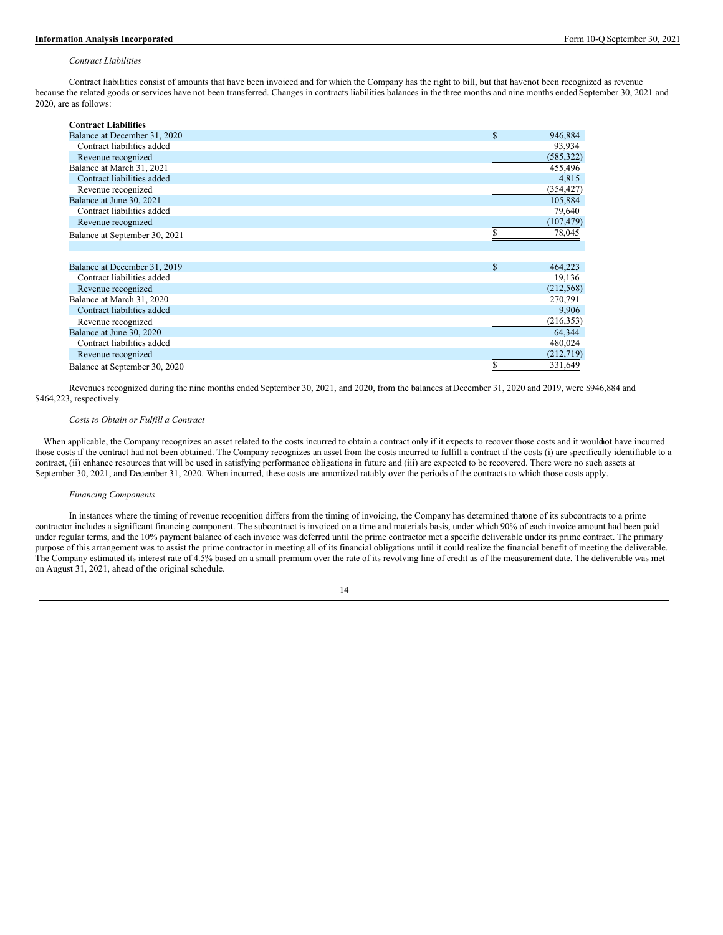#### *Contract Liabilities*

Contract liabilities consist of amounts that have been invoiced and for which the Company has the right to bill, but that havenot been recognized as revenue because the related goods or services have not been transferred. Changes in contracts liabilities balances in the three months and nine months ended September 30, 2021 and 2020, are as follows:

| <b>Contract Liabilities</b>   |              |            |
|-------------------------------|--------------|------------|
| Balance at December 31, 2020  | $\mathbb{S}$ | 946,884    |
| Contract liabilities added    |              | 93,934     |
| Revenue recognized            |              | (585, 322) |
| Balance at March 31, 2021     |              | 455,496    |
| Contract liabilities added    |              | 4,815      |
| Revenue recognized            |              | (354, 427) |
| Balance at June 30, 2021      |              | 105,884    |
| Contract liabilities added    |              | 79,640     |
| Revenue recognized            |              | (107, 479) |
| Balance at September 30, 2021 |              | 78,045     |
|                               |              |            |
|                               |              |            |
| Balance at December 31, 2019  | $\mathbb{S}$ | 464,223    |
| Contract liabilities added    |              | 19,136     |
| Revenue recognized            |              | (212, 568) |
| Balance at March 31, 2020     |              | 270,791    |
| Contract liabilities added    |              | 9,906      |
| Revenue recognized            |              | (216, 353) |
| Balance at June 30, 2020      |              | 64,344     |
| Contract liabilities added    |              | 480,024    |
| Revenue recognized            |              | (212, 719) |
| Balance at September 30, 2020 | \$           | 331,649    |

Revenues recognized during the nine months ended September 30, 2021, and 2020, from the balances atDecember 31, 2020 and 2019, were \$946,884 and \$464,223, respectively.

# *Costs to Obtain or Fulfill a Contract*

When applicable, the Company recognizes an asset related to the costs incurred to obtain a contract only if it expects to recover those costs and it would to thave incurred those costs if the contract had not been obtained. The Company recognizes an asset from the costs incurred to fulfill a contract if the costs (i) are specifically identifiable to a contract, (ii) enhance resources that will be used in satisfying performance obligations in future and (iii) are expected to be recovered. There were no such assets at September 30, 2021, and December 31, 2020. When incurred, these costs are amortized ratably over the periods of the contracts to which those costs apply.

### *Financing Components*

In instances where the timing of revenue recognition differs from the timing of invoicing, the Company has determined thatone of its subcontracts to a prime contractor includes a significant financing component. The subcontract is invoiced on a time and materials basis, under which 90% of each invoice amount had been paid under regular terms, and the 10% payment balance of each invoice was deferred until the prime contractor met a specific deliverable under its prime contract. The primary purpose of this arrangement was to assist the prime contractor in meeting all of its financial obligations until it could realize the financial benefit of meeting the deliverable. The Company estimated its interest rate of 4.5% based on a small premium over the rate of its revolving line of credit as of the measurement date. The deliverable was met on August 31, 2021, ahead of the original schedule.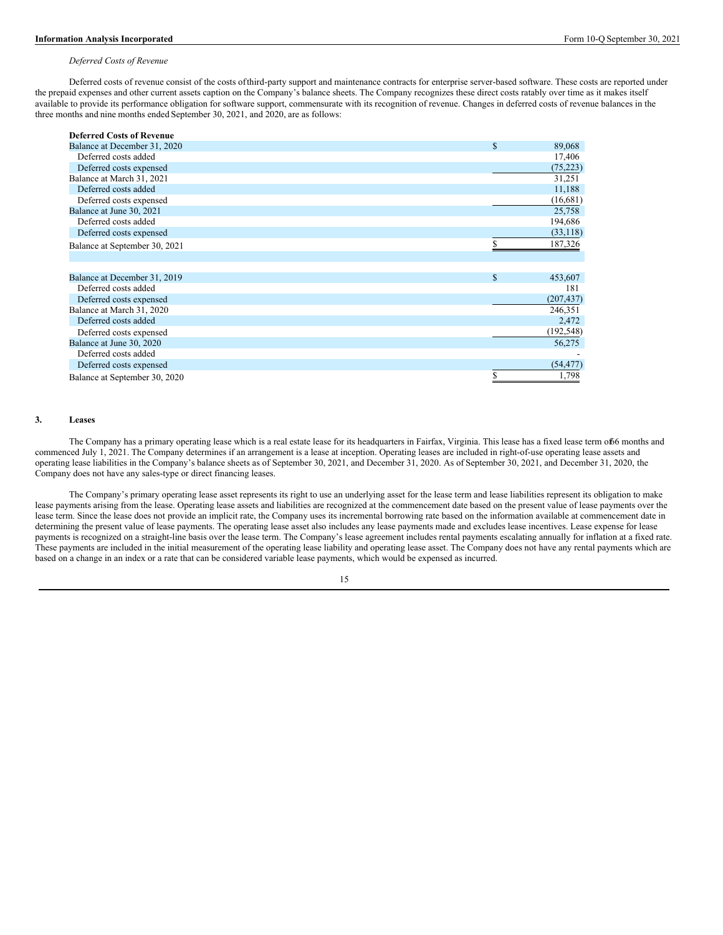### *Deferred Costs of Revenue*

Deferred costs of revenue consist of the costs ofthird-party support and maintenance contracts for enterprise server-based software. These costs are reported under the prepaid expenses and other current assets caption on the Company's balance sheets. The Company recognizes these direct costs ratably over time as it makes itself available to provide its performance obligation for software support, commensurate with its recognition of revenue. Changes in deferred costs of revenue balances in the three months and nine months ended September 30, 2021, and 2020, are as follows:

| <b>Deferred Costs of Revenue</b> |               |
|----------------------------------|---------------|
| Balance at December 31, 2020     | \$<br>89,068  |
| Deferred costs added             | 17,406        |
| Deferred costs expensed          | (75, 223)     |
| Balance at March 31, 2021        | 31,251        |
| Deferred costs added             | 11,188        |
| Deferred costs expensed          | (16, 681)     |
| Balance at June 30, 2021         | 25,758        |
| Deferred costs added             | 194,686       |
| Deferred costs expensed          | (33, 118)     |
| Balance at September 30, 2021    | 187,326       |
|                                  |               |
|                                  |               |
| Balance at December 31, 2019     | \$<br>453,607 |
| Deferred costs added             | 181           |
| Deferred costs expensed          | (207, 437)    |
| Balance at March 31, 2020        | 246,351       |
| Deferred costs added             | 2,472         |
| Deferred costs expensed          | (192, 548)    |
| Balance at June 30, 2020         | 56,275        |
| Deferred costs added             |               |
| Deferred costs expensed          | (54,477)      |
| Balance at September 30, 2020    | \$<br>1,798   |

### **3. Leases**

The Company has a primary operating lease which is a real estate lease for its headquarters in Fairfax, Virginia. This lease has a fixed lease term of 66 months and commenced July 1, 2021. The Company determines if an arrangement is a lease at inception. Operating leases are included in right-of-use operating lease assets and operating lease liabilities in the Company's balance sheets as of September 30, 2021, and December 31, 2020. As of September 30, 2021, and December 31, 2020, the Company does not have any sales-type or direct financing leases.

The Company's primary operating lease asset represents its right to use an underlying asset for the lease term and lease liabilities represent its obligation to make lease payments arising from the lease. Operating lease assets and liabilities are recognized at the commencement date based on the present value of lease payments over the lease term. Since the lease does not provide an implicit rate, the Company uses its incremental borrowing rate based on the information available at commencement date in determining the present value of lease payments. The operating lease asset also includes any lease payments made and excludes lease incentives. Lease expense for lease payments is recognized on a straight-line basis over the lease term. The Company's lease agreement includes rental payments escalating annually for inflation at a fixed rate. These payments are included in the initial measurement of the operating lease liability and operating lease asset. The Company does not have any rental payments which are based on a change in an index or a rate that can be considered variable lease payments, which would be expensed as incurred.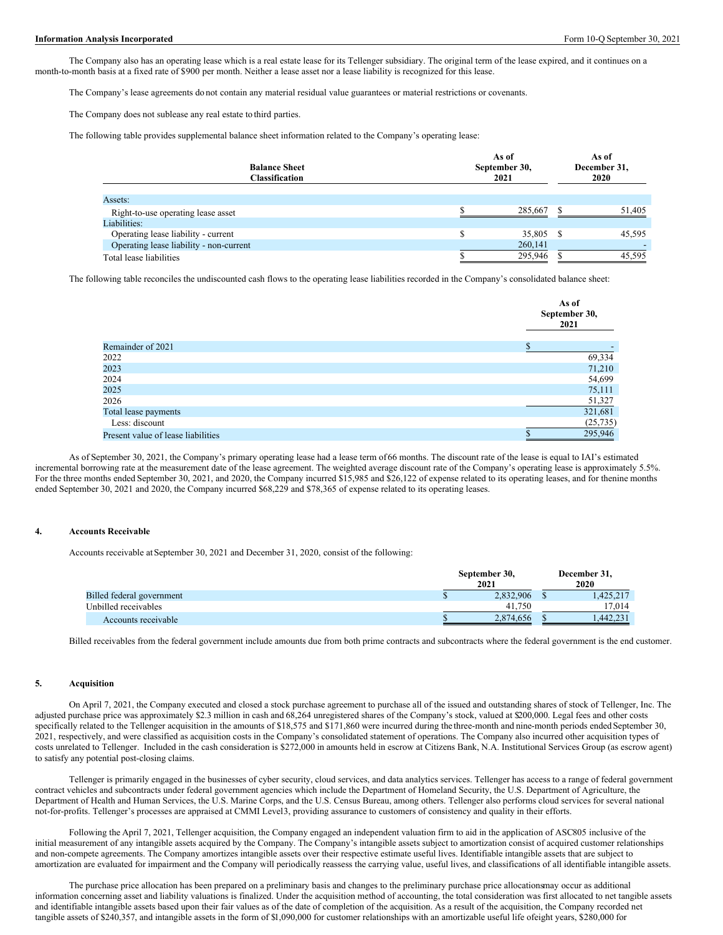The Company also has an operating lease which is a real estate lease for its Tellenger subsidiary. The original term of the lease expired, and it continues on a month-to-month basis at a fixed rate of \$900 per month. Neither a lease asset nor a lease liability is recognized for this lease.

The Company's lease agreements do not contain any material residual value guarantees or material restrictions or covenants.

The Company does not sublease any real estate to third parties.

The following table provides supplemental balance sheet information related to the Company's operating lease:

| <b>Balance Sheet</b><br><b>Classification</b> | As of<br>September 30,<br>2021 | As of<br>December 31,<br>2020 |        |  |
|-----------------------------------------------|--------------------------------|-------------------------------|--------|--|
| Assets:                                       |                                |                               |        |  |
| Right-to-use operating lease asset            | 285,667                        |                               | 51,405 |  |
| Liabilities:                                  |                                |                               |        |  |
| Operating lease liability - current           | 35,805<br>- S                  |                               | 45,595 |  |
| Operating lease liability - non-current       | 260,141                        |                               |        |  |
| Total lease liabilities                       | 295,946                        |                               | 45,595 |  |

The following table reconciles the undiscounted cash flows to the operating lease liabilities recorded in the Company's consolidated balance sheet:

|                                    | As of<br>September 30,<br>2021 |
|------------------------------------|--------------------------------|
| Remainder of 2021                  |                                |
| 2022                               | 69,334                         |
| 2023                               | 71,210                         |
| 2024                               | 54,699                         |
| 2025                               | 75,111                         |
| 2026                               | 51,327                         |
| Total lease payments               | 321,681                        |
| Less: discount                     | (25, 735)                      |
| Present value of lease liabilities | 295,946                        |

As of September 30, 2021, the Company's primary operating lease had a lease term of 66 months. The discount rate of the lease is equal to IAI's estimated incremental borrowing rate at the measurement date of the lease agreement. The weighted average discount rate of the Company's operating lease is approximately 5.5%. For the three months ended September 30, 2021, and 2020, the Company incurred \$15,985 and \$26,122 of expense related to its operating leases, and for thenine months ended September 30, 2021 and 2020, the Company incurred \$68,229 and \$78,365 of expense related to its operating leases.

### **4. Accounts Receivable**

Accounts receivable at September 30, 2021 and December 31, 2020, consist of the following:

|                           | September 30,<br>2021 |        | December 31,<br>2020 |  |  |
|---------------------------|-----------------------|--------|----------------------|--|--|
| Billed federal government | 2.832.906             |        | 1.425.217            |  |  |
| Unbilled receivables      |                       | 41,750 | 17.014               |  |  |
| Accounts receivable       | 2.874.656             |        | .442.231             |  |  |

Billed receivables from the federal government include amounts due from both prime contracts and subcontracts where the federal government is the end customer.

# **5. Acquisition**

On April 7, 2021, the Company executed and closed a stock purchase agreement to purchase all of the issued and outstanding shares of stock of Tellenger, Inc. The adjusted purchase price was approximately \$2.3 million in cash and 68,264 unregistered shares of the Company's stock, valued at \$200,000. Legal fees and other costs specifically related to the Tellenger acquisition in the amounts of \$18,575 and \$171,860 were incurred during the three-month and nine-month periods ended September 30, 2021, respectively, and were classified as acquisition costs in the Company's consolidated statement of operations. The Company also incurred other acquisition types of costs unrelated to Tellenger. Included in the cash consideration is \$272,000 in amounts held in escrow at Citizens Bank, N.A. Institutional Services Group (as escrow agent) to satisfy any potential post-closing claims.

Tellenger is primarily engaged in the businesses of cyber security, cloud services, and data analytics services. Tellenger has access to a range of federal government contract vehicles and subcontracts under federal government agencies which include the Department of Homeland Security, the U.S. Department of Agriculture, the Department of Health and Human Services, the U.S. Marine Corps, and the U.S. Census Bureau, among others. Tellenger also performs cloud services for several national not-for-profits. Tellenger's processes are appraised at CMMI Level3, providing assurance to customers of consistency and quality in their efforts.

Following the April 7, 2021, Tellenger acquisition, the Company engaged an independent valuation firm to aid in the application of ASC805 inclusive of the initial measurement of any intangible assets acquired by the Company. The Company's intangible assets subject to amortization consist of acquired customer relationships and non-compete agreements. The Company amortizes intangible assets over their respective estimate useful lives. Identifiable intangible assets that are subject to amortization are evaluated for impairment and the Company will periodically reassess the carrying value, useful lives, and classifications of all identifiable intangible assets.

The purchase price allocation has been prepared on a preliminary basis and changes to the preliminary purchase price allocationsmay occur as additional information concerning asset and liability valuations is finalized. Under the acquisition method of accounting, the total consideration was first allocated to net tangible assets and identifiable intangible assets based upon their fair values as of the date of completion of the acquisition. As a result of the acquisition, the Company recorded net tangible assets of \$240,357, and intangible assets in the form of \$1,090,000 for customer relationships with an amortizable useful life ofeight years, \$280,000 for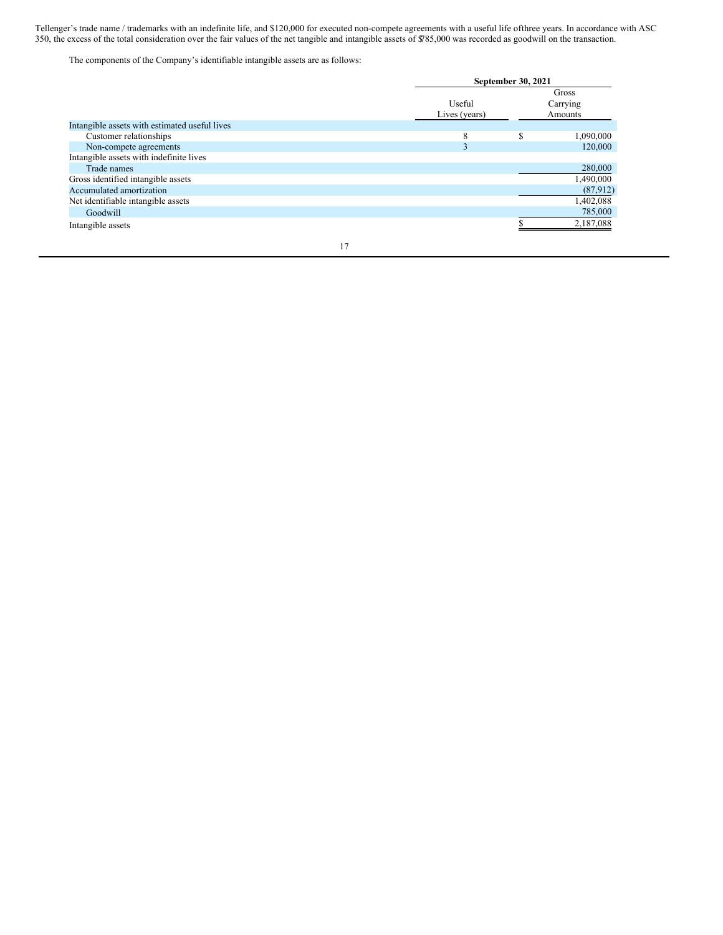Tellenger's trade name / trademarks with an indefinite life, and \$120,000 for executed non-compete agreements with a useful life ofthree years. In accordance with ASC 350, the excess of the total consideration over the fair values of the net tangible and intangible assets of \$785,000 was recorded as goodwill on the transaction.

The components of the Company's identifiable intangible assets are as follows:

|                                               |                         | <b>September 30, 2021</b> |                              |  |  |
|-----------------------------------------------|-------------------------|---------------------------|------------------------------|--|--|
|                                               | Useful<br>Lives (years) |                           | Gross<br>Carrying<br>Amounts |  |  |
| Intangible assets with estimated useful lives |                         |                           |                              |  |  |
| Customer relationships                        | 8                       | S                         | 1,090,000                    |  |  |
| Non-compete agreements                        | 3                       |                           | 120,000                      |  |  |
| Intangible assets with indefinite lives       |                         |                           |                              |  |  |
| Trade names                                   |                         |                           | 280,000                      |  |  |
| Gross identified intangible assets            |                         |                           | 1,490,000                    |  |  |
| Accumulated amortization                      |                         |                           | (87,912)                     |  |  |
| Net identifiable intangible assets            |                         |                           | 1,402,088                    |  |  |
| Goodwill                                      |                         |                           | 785,000                      |  |  |
| Intangible assets                             |                         |                           | 2,187,088                    |  |  |
|                                               |                         |                           |                              |  |  |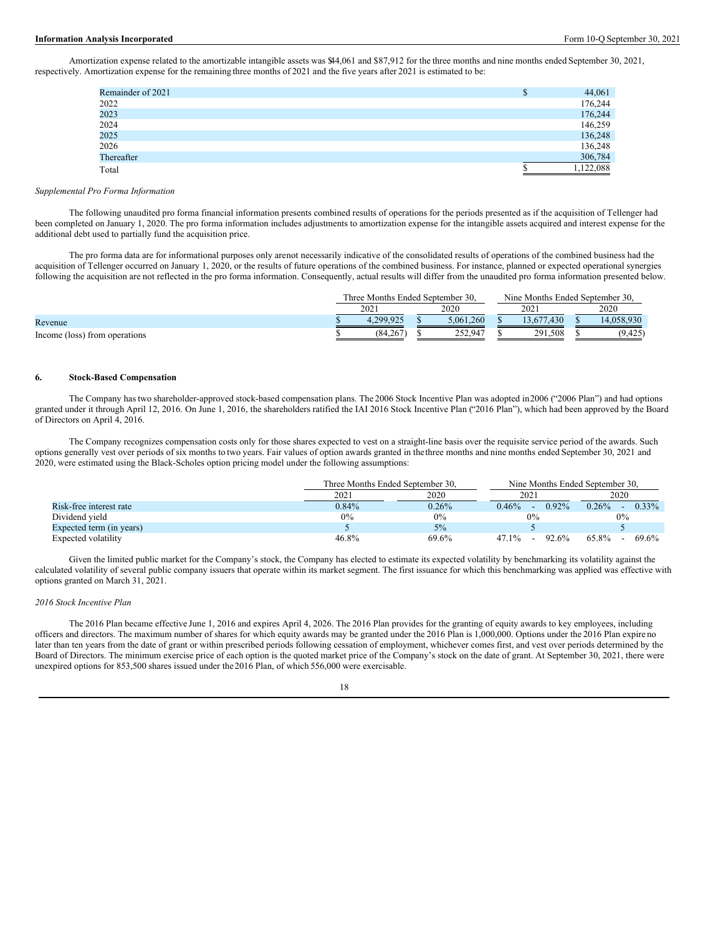Amortization expense related to the amortizable intangible assets was \$44,061 and \$87,912 for the three months and nine months ended September 30, 2021, respectively. Amortization expense for the remaining three months of 2021 and the five years after 2021 is estimated to be:

| Remainder of 2021 | \$<br>44,061 |
|-------------------|--------------|
| 2022              | 176,244      |
| 2023              | 176,244      |
| 2024              | 146,259      |
| 2025              | 136,248      |
| 2026              | 136,248      |
| Thereafter        | 306,784      |
| Total             | 1.122.088    |

#### *Supplemental Pro Forma Information*

The following unaudited pro forma financial information presents combined results of operations for the periods presented as if the acquisition of Tellenger had been completed on January 1, 2020. The pro forma information includes adjustments to amortization expense for the intangible assets acquired and interest expense for the additional debt used to partially fund the acquisition price.

The pro forma data are for informational purposes only arenot necessarily indicative of the consolidated results of operations of the combined business had the acquisition of Tellenger occurred on January 1, 2020, or the results of future operations of the combined business. For instance, planned or expected operational synergies following the acquisition are not reflected in the pro forma information. Consequently, actual results will differ from the unaudited pro forma information presented below.

|                               | Three Months Ended September 30. |  |           |  | Nine Months Ended September 30. |  |            |
|-------------------------------|----------------------------------|--|-----------|--|---------------------------------|--|------------|
|                               | 2020<br>2021                     |  | 202       |  | 2020                            |  |            |
| Revenue                       | 200.025                          |  | 5.061.260 |  | .5.677                          |  | 14.058.930 |
| Income (loss) from operations | (84.267                          |  | 252.947   |  | 291.508                         |  | (9.425)    |

# **6. Stock-Based Compensation**

The Company hastwo shareholder-approved stock-based compensation plans. The 2006 Stock Incentive Plan was adopted in2006 ("2006 Plan") and had options granted under it through April 12, 2016. On June 1, 2016, the shareholders ratified the IAI 2016 Stock Incentive Plan ("2016 Plan"), which had been approved by the Board of Directors on April 4, 2016.

The Company recognizes compensation costs only for those shares expected to vest on a straight-line basis over the requisite service period of the awards. Such options generally vest over periods of six months to two years. Fair values of option awards granted in thethree months and nine months ended September 30, 2021 and 2020, were estimated using the Black-Scholes option pricing model under the following assumptions:

|                          | Three Months Ended September 30. |          | Nine Months Ended September 30. |                      |  |  |
|--------------------------|----------------------------------|----------|---------------------------------|----------------------|--|--|
|                          | 2020<br>2021<br>2021             |          | 2020                            |                      |  |  |
| Risk-free interest rate  | 0.84%                            | $0.26\%$ | $0.92\%$<br>0.46%               | $0.26\%$<br>$0.33\%$ |  |  |
| Dividend vield           | 0%                               | 0%       | $0\%$                           | 0%                   |  |  |
| Expected term (in years) |                                  | 5%       |                                 |                      |  |  |
| Expected volatility      | 46.8%                            | 69.6%    | 47.1%<br>92.6%                  | 65.8%<br>69.6%       |  |  |

Given the limited public market for the Company's stock, the Company has elected to estimate its expected volatility by benchmarking its volatility against the calculated volatility of several public company issuers that operate within its market segment. The first issuance for which this benchmarking was applied was effective with options granted on March 31, 2021.

# *2016 Stock Incentive Plan*

The 2016 Plan became effective June 1, 2016 and expires April 4, 2026. The 2016 Plan provides for the granting of equity awards to key employees, including officers and directors. The maximum number of shares for which equity awards may be granted under the 2016 Plan is 1,000,000. Options under the 2016 Plan expire no later than ten years from the date of grant or within prescribed periods following cessation of employment, whichever comes first, and vest over periods determined by the Board of Directors. The minimum exercise price of each option is the quoted market price of the Company's stock on the date of grant. At September 30, 2021, there were unexpired options for 853,500 shares issued under the 2016 Plan, of which 556,000 were exercisable.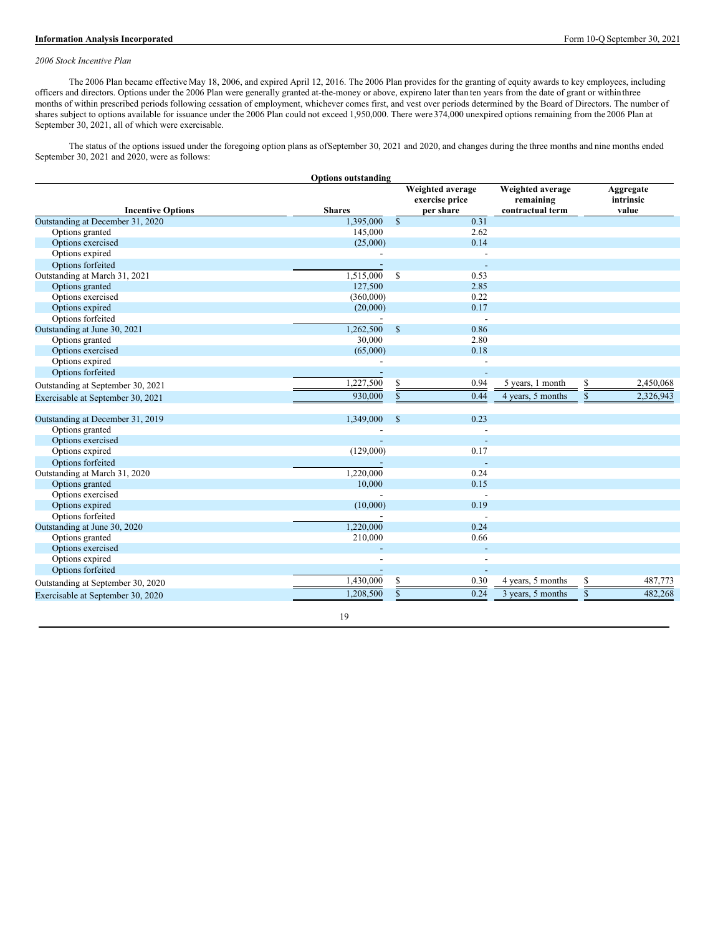# *2006 Stock Incentive Plan*

The 2006 Plan became effective May 18, 2006, and expired April 12, 2016. The 2006 Plan provides for the granting of equity awards to key employees, including officers and directors. Options under the 2006 Plan were generally granted at-the-money or above, expireno later than ten years from the date of grant or withinthree months of within prescribed periods following cessation of employment, whichever comes first, and vest over periods determined by the Board of Directors. The number of shares subject to options available for issuance under the 2006 Plan could not exceed 1,950,000. There were 374,000 unexpired options remaining from the 2006 Plan at September 30, 2021, all of which were exercisable.

The status of the options issued under the foregoing option plans as ofSeptember 30, 2021 and 2020, and changes during the three months and nine months ended September 30, 2021 and 2020, were as follows:

|                                   | <b>Options outstanding</b> |                                                                  |        |                                                   |              |                                 |  |  |  |
|-----------------------------------|----------------------------|------------------------------------------------------------------|--------|---------------------------------------------------|--------------|---------------------------------|--|--|--|
| <b>Incentive Options</b>          |                            | Weighted average<br>exercise price<br><b>Shares</b><br>per share |        | Weighted average<br>remaining<br>contractual term |              | Aggregate<br>intrinsic<br>value |  |  |  |
| Outstanding at December 31, 2020  | 1,395,000                  | $\mathbb{S}$                                                     | 0.31   |                                                   |              |                                 |  |  |  |
| Options granted                   | 145,000                    |                                                                  | 2.62   |                                                   |              |                                 |  |  |  |
| Options exercised                 | (25,000)                   |                                                                  | 0.14   |                                                   |              |                                 |  |  |  |
| Options expired                   |                            |                                                                  |        |                                                   |              |                                 |  |  |  |
| Options forfeited                 |                            |                                                                  |        |                                                   |              |                                 |  |  |  |
| Outstanding at March 31, 2021     | 1,515,000                  | $\mathbb{S}$                                                     | 0.53   |                                                   |              |                                 |  |  |  |
| Options granted                   | 127,500                    |                                                                  | 2.85   |                                                   |              |                                 |  |  |  |
| Options exercised                 | (360,000)                  |                                                                  | 0.22   |                                                   |              |                                 |  |  |  |
| Options expired                   | (20,000)                   |                                                                  | 0.17   |                                                   |              |                                 |  |  |  |
| Options forfeited                 |                            |                                                                  |        |                                                   |              |                                 |  |  |  |
| Outstanding at June 30, 2021      | 1,262,500                  | $\mathbf S$                                                      | 0.86   |                                                   |              |                                 |  |  |  |
| Options granted                   | 30,000                     |                                                                  | 2.80   |                                                   |              |                                 |  |  |  |
| Options exercised                 | (65,000)                   |                                                                  | 0.18   |                                                   |              |                                 |  |  |  |
| Options expired                   |                            |                                                                  |        |                                                   |              |                                 |  |  |  |
| Options forfeited                 |                            |                                                                  | $\sim$ |                                                   |              |                                 |  |  |  |
| Outstanding at September 30, 2021 | 1,227,500                  | \$                                                               | 0.94   | 5 years, 1 month                                  | \$           | 2,450,068                       |  |  |  |
| Exercisable at September 30, 2021 | 930,000                    | $\mathbb{S}$                                                     | 0.44   | 4 years, 5 months                                 | $\mathbb{S}$ | 2,326,943                       |  |  |  |
| Outstanding at December 31, 2019  | 1,349,000                  | $\mathbb{S}$                                                     | 0.23   |                                                   |              |                                 |  |  |  |
| Options granted                   |                            |                                                                  |        |                                                   |              |                                 |  |  |  |
| Options exercised                 |                            |                                                                  |        |                                                   |              |                                 |  |  |  |
| Options expired                   | (129,000)                  |                                                                  | 0.17   |                                                   |              |                                 |  |  |  |
| Options forfeited                 |                            |                                                                  |        |                                                   |              |                                 |  |  |  |
| Outstanding at March 31, 2020     | 1,220,000                  |                                                                  | 0.24   |                                                   |              |                                 |  |  |  |
| Options granted                   | 10,000                     |                                                                  | 0.15   |                                                   |              |                                 |  |  |  |
| Options exercised                 |                            |                                                                  |        |                                                   |              |                                 |  |  |  |
| Options expired                   | (10,000)                   |                                                                  | 0.19   |                                                   |              |                                 |  |  |  |
| Options forfeited                 |                            |                                                                  |        |                                                   |              |                                 |  |  |  |
| Outstanding at June 30, 2020      | 1,220,000                  |                                                                  | 0.24   |                                                   |              |                                 |  |  |  |
| Options granted                   | 210,000                    |                                                                  | 0.66   |                                                   |              |                                 |  |  |  |
| Options exercised                 |                            |                                                                  |        |                                                   |              |                                 |  |  |  |
| Options expired                   |                            |                                                                  | ÷,     |                                                   |              |                                 |  |  |  |
| Options forfeited                 |                            |                                                                  | $\sim$ |                                                   |              |                                 |  |  |  |
| Outstanding at September 30, 2020 | 1,430,000                  | \$                                                               | 0.30   | 4 years, 5 months                                 | \$           | 487,773                         |  |  |  |
| Exercisable at September 30, 2020 | 1,208,500                  | <sup>\$</sup>                                                    | 0.24   | 3 years, 5 months                                 | $\mathbb{S}$ | 482,268                         |  |  |  |
|                                   |                            |                                                                  |        |                                                   |              |                                 |  |  |  |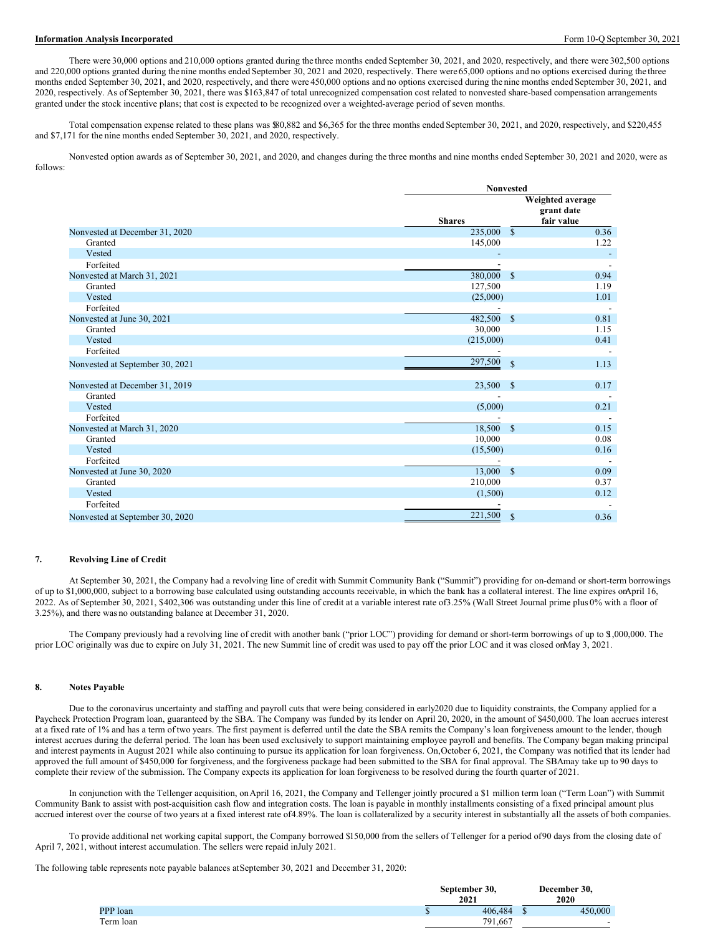There were 30,000 options and 210,000 options granted during the three months ended September 30, 2021, and 2020, respectively, and there were 302,500 options and 220,000 options granted during the nine months ended September 30, 2021 and 2020, respectively. There were 65,000 options and no options exercised during the three months ended September 30, 2021, and 2020, respectively, and there were 450,000 options and no options exercised during the nine months ended September 30, 2021, and 2020, respectively. As of September 30, 2021, there was \$163,847 of total unrecognized compensation cost related to nonvested share-based compensation arrangements granted under the stock incentive plans; that cost is expected to be recognized over a weighted-average period of seven months.

Total compensation expense related to these plans was \$80,882 and \$6,365 for the three months ended September 30, 2021, and 2020, respectively, and \$220,455 and \$7,171 for the nine months ended September 30, 2021, and 2020, respectively.

Nonvested option awards as of September 30, 2021, and 2020, and changes during the three months and nine months ended September 30, 2021 and 2020, were as follows:

|                                 |               | <b>Nonvested</b>                             |      |  |  |
|---------------------------------|---------------|----------------------------------------------|------|--|--|
|                                 | <b>Shares</b> | Weighted average<br>grant date<br>fair value |      |  |  |
| Nonvested at December 31, 2020  | 235,000       | $\mathbf{s}$                                 | 0.36 |  |  |
| Granted                         | 145,000       |                                              | 1.22 |  |  |
| Vested                          |               |                                              |      |  |  |
| Forfeited                       |               |                                              |      |  |  |
| Nonvested at March 31, 2021     | 380,000       | $\mathbf S$                                  | 0.94 |  |  |
| Granted                         | 127,500       |                                              | 1.19 |  |  |
| Vested                          | (25,000)      |                                              | 1.01 |  |  |
| Forfeited                       |               |                                              |      |  |  |
| Nonvested at June 30, 2021      | 482,500       | $\mathbf{\hat{s}}$                           | 0.81 |  |  |
| Granted                         | 30,000        |                                              | 1.15 |  |  |
| Vested                          | (215,000)     |                                              | 0.41 |  |  |
| Forfeited                       |               |                                              |      |  |  |
| Nonvested at September 30, 2021 | 297,500       | $\mathbf S$                                  | 1.13 |  |  |
|                                 |               |                                              |      |  |  |
| Nonvested at December 31, 2019  | 23,500        | $\mathcal{S}$                                | 0.17 |  |  |
| Granted                         |               |                                              |      |  |  |
| Vested                          | (5,000)       |                                              | 0.21 |  |  |
| Forfeited                       |               |                                              |      |  |  |
| Nonvested at March 31, 2020     | 18,500        | $\mathcal{S}$                                | 0.15 |  |  |
| Granted                         | 10,000        |                                              | 0.08 |  |  |
| Vested                          | (15,500)      |                                              | 0.16 |  |  |
| Forfeited                       |               |                                              |      |  |  |
| Nonvested at June 30, 2020      | 13,000        | $\mathbf{s}$                                 | 0.09 |  |  |
| Granted                         | 210,000       |                                              | 0.37 |  |  |
| Vested                          | (1,500)       |                                              | 0.12 |  |  |
| Forfeited                       |               |                                              |      |  |  |
| Nonvested at September 30, 2020 | 221,500       | \$                                           | 0.36 |  |  |

# **7. Revolving Line of Credit**

At September 30, 2021, the Company had a revolving line of credit with Summit Community Bank ("Summit") providing for on-demand or short-term borrowings of up to \$1,000,000, subject to a borrowing base calculated using outstanding accounts receivable, in which the bank has a collateral interest. The line expires onApril 16, 2022. As of September 30, 2021, \$402,306 was outstanding under this line of credit at a variable interest rate of3.25% (Wall Street Journal prime plus 0% with a floor of 3.25%), and there was no outstanding balance at December 31, 2020.

The Company previously had a revolving line of credit with another bank ("prior LOC") providing for demand or short-term borrowings of up to \$1,000,000. The prior LOC originally was due to expire on July 31, 2021. The new Summit line of credit was used to pay off the prior LOC and it was closed onMay 3, 2021.

# **8. Notes Payable**

Due to the coronavirus uncertainty and staffing and payroll cuts that were being considered in early2020 due to liquidity constraints, the Company applied for a Paycheck Protection Program loan, guaranteed by the SBA. The Company was funded by its lender on April 20, 2020, in the amount of \$450,000. The loan accrues interest at a fixed rate of 1% and has a term of two years. The first payment is deferred until the date the SBA remits the Company's loan forgiveness amount to the lender, though interest accrues during the deferral period. The loan has been used exclusively to support maintaining employee payroll and benefits. The Company began making principal and interest payments in August 2021 while also continuing to pursue its application for loan forgiveness. On,October 6, 2021, the Company was notified that its lender had approved the full amount of \$450,000 for forgiveness, and the forgiveness package had been submitted to the SBA for final approval. The SBAmay take up to 90 days to complete their review of the submission. The Company expects its application for loan forgiveness to be resolved during the fourth quarter of 2021.

In conjunction with the Tellenger acquisition, onApril 16, 2021, the Company and Tellenger jointly procured a \$1 million term loan ("Term Loan") with Summit Community Bank to assist with post-acquisition cash flow and integration costs. The loan is payable in monthly installments consisting of a fixed principal amount plus accrued interest over the course of two years at a fixed interest rate of4.89%. The loan is collateralized by a security interest in substantially all the assets of both companies.

To provide additional net working capital support, the Company borrowed \$150,000 from the sellers of Tellenger for a period of90 days from the closing date of April 7, 2021, without interest accumulation. The sellers were repaid inJuly 2021.

The following table represents note payable balances atSeptember 30, 2021 and December 31, 2020:

|                     | September 30,<br>2021 | December 30,<br>2020     |
|---------------------|-----------------------|--------------------------|
| PPP loan            | 406,484               | 150.000                  |
| $\sim$<br>Γerm loan | 791.667               | $\overline{\phantom{0}}$ |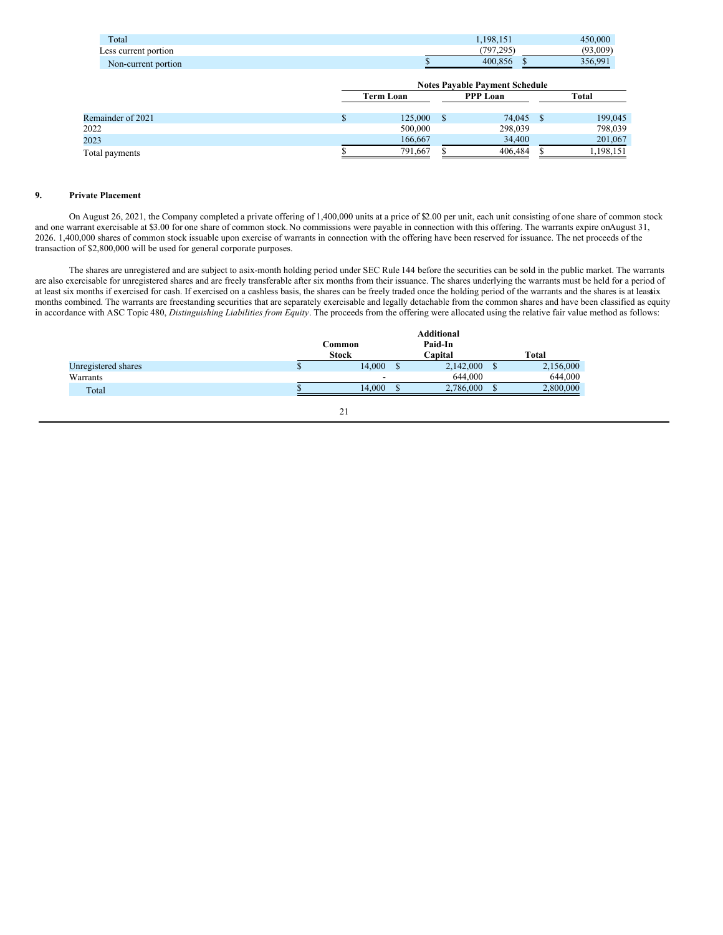| Total                |           | 1,198,151                             | 450,000   |
|----------------------|-----------|---------------------------------------|-----------|
| Less current portion |           | (797, 295)                            | (93,009)  |
| Non-current portion  |           | 400,856                               | 356,991   |
|                      |           | <b>Notes Payable Payment Schedule</b> |           |
|                      | Term Loan | <b>PPP Loan</b>                       | Total     |
| Remainder of 2021    | 125,000   | \$<br>74,045 \$                       | 199,045   |
| 2022                 | 500,000   | 298,039                               | 798,039   |
| 2023                 | 166,667   | 34,400                                | 201,067   |
| Total payments       | 791,667   | 406,484                               | 1,198,151 |
|                      |           |                                       |           |

# **9. Private Placement**

On August 26, 2021, the Company completed a private offering of 1,400,000 units at a price of \$2.00 per unit, each unit consisting of one share of common stock and one warrant exercisable at \$3.00 for one share of common stock.No commissions were payable in connection with this offering. The warrants expire onAugust 31, 2026. 1,400,000 shares of common stock issuable upon exercise of warrants in connection with the offering have been reserved for issuance. The net proceeds of the transaction of \$2,800,000 will be used for general corporate purposes.

The shares are unregistered and are subject to asix-month holding period under SEC Rule 144 before the securities can be sold in the public market. The warrants are also exercisable for unregistered shares and are freely transferable after six months from their issuance. The shares underlying the warrants must be held for a period of at least six months if exercised for cash. If exercised on a cashless basis, the shares can be freely traded once the holding period of the warrants and the shares is at leastix months combined. The warrants are freestanding securities that are separately exercisable and legally detachable from the common shares and have been classified as equity in accordance with ASC Topic 480, *Distinguishing Liabilities from Equity*. The proceeds from the offering were allocated using the relative fair value method as follows:

|                     |   | Common       |      | <b>Additional</b><br>Paid-In |   |           |
|---------------------|---|--------------|------|------------------------------|---|-----------|
|                     |   | <b>Stock</b> |      | Capital                      |   | Total     |
| Unregistered shares | ω | 14,000       | - \$ | 2,142,000                    | S | 2,156,000 |
| Warrants            |   |              |      | 644,000                      |   | 644,000   |
| Total               |   | 14,000       |      | 2,786,000                    | S | 2,800,000 |
|                     |   | 21           |      |                              |   |           |
|                     |   |              |      |                              |   |           |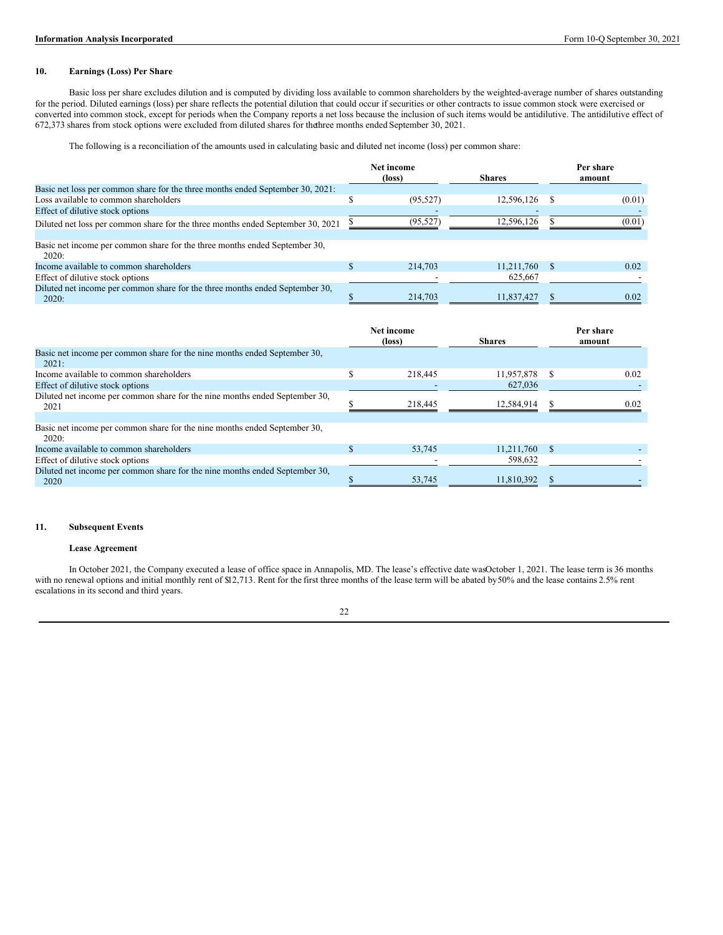# **10. Earnings (Loss) Per Share**

Basic loss per share excludes dilution and is computed by dividing loss available to common shareholders by the weighted-average number of shares outstanding for the period. Diluted earnings (loss) per share reflects the potential dilution that could occur if securities or other contracts to issue common stock were exercised or converted into common stock, except for periods when the Company reports a net loss because the inclusion of such items would be antidilutive. The antidilutive effect of 672,373 shares from stock options were excluded from diluted shares for thethree months ended September 30, 2021.

The following is a reconciliation of the amounts used in calculating basic and diluted net income (loss) per common share:

|                                                                                       | Net income<br>(loss) |           | <b>Shares</b> | Per share<br>amount |        |
|---------------------------------------------------------------------------------------|----------------------|-----------|---------------|---------------------|--------|
| Basic net loss per common share for the three months ended September 30, 2021:        |                      |           |               |                     |        |
| Loss available to common shareholders                                                 |                      | (95, 527) | 12,596,126    |                     | (0.01) |
| Effect of dilutive stock options                                                      |                      |           |               |                     |        |
| Diluted net loss per common share for the three months ended September 30, 2021       |                      | (95, 527) | 12.596.126    |                     | (0.01) |
|                                                                                       |                      |           |               |                     |        |
| Basic net income per common share for the three months ended September 30,<br>2020:   |                      |           |               |                     |        |
| Income available to common shareholders                                               |                      | 214,703   | 11,211,760    | S.                  | 0.02   |
| Effect of dilutive stock options                                                      |                      |           | 625,667       |                     |        |
| Diluted net income per common share for the three months ended September 30,<br>2020: |                      | 214,703   | 11,837,427    |                     | 0.02   |

|                                                                                     | Net income |               | Per share |
|-------------------------------------------------------------------------------------|------------|---------------|-----------|
|                                                                                     | (loss)     | <b>Shares</b> | amount    |
| Basic net income per common share for the nine months ended September 30,<br>2021:  |            |               |           |
| Income available to common shareholders                                             | 218,445    | 11,957,878    | 0.02      |
| Effect of dilutive stock options                                                    |            | 627,036       |           |
| Diluted net income per common share for the nine months ended September 30,<br>2021 | 218,445    | 12,584,914    | 0.02      |
| Basic net income per common share for the nine months ended September 30,<br>2020:  |            |               |           |
| Income available to common shareholders                                             | 53,745     | 11.211.760 \$ |           |
| Effect of dilutive stock options                                                    |            | 598,632       |           |
| Diluted net income per common share for the nine months ended September 30,<br>2020 | 53,745     | 11,810,392    |           |

# **11. Subsequent Events**

# **Lease Agreement**

In October 2021, the Company executed a lease of office space in Annapolis, MD. The lease's effective date wasOctober 1, 2021. The lease term is 36 months with no renewal options and initial monthly rent of \$12,713. Rent for the first three months of the lease term will be abated by 50% and the lease contains 2.5% rent escalations in its second and third years.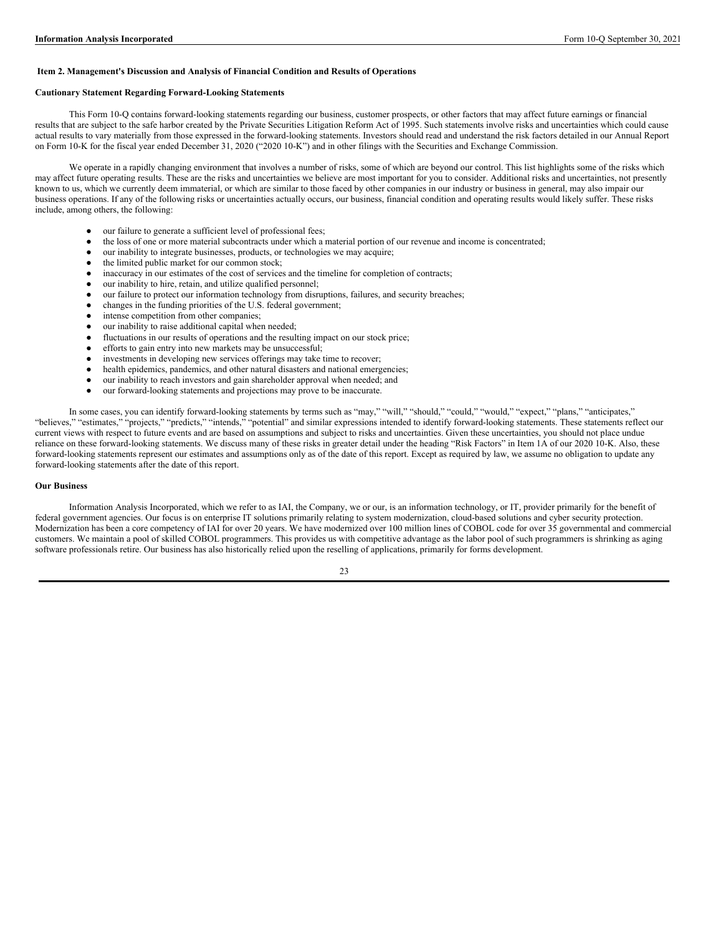## **Item 2. Management's Discussion and Analysis of Financial Condition and Results of Operations**

#### **Cautionary Statement Regarding Forward-Looking Statements**

This Form 10-Q contains forward-looking statements regarding our business, customer prospects, or other factors that may affect future earnings or financial results that are subject to the safe harbor created by the Private Securities Litigation Reform Act of 1995. Such statements involve risks and uncertainties which could cause actual results to vary materially from those expressed in the forward-looking statements. Investors should read and understand the risk factors detailed in our Annual Report on Form 10-K for the fiscal year ended December 31, 2020 ("2020 10-K") and in other filings with the Securities and Exchange Commission.

We operate in a rapidly changing environment that involves a number of risks, some of which are beyond our control. This list highlights some of the risks which may affect future operating results. These are the risks and uncertainties we believe are most important for you to consider. Additional risks and uncertainties, not presently known to us, which we currently deem immaterial, or which are similar to those faced by other companies in our industry or business in general, may also impair our business operations. If any of the following risks or uncertainties actually occurs, our business, financial condition and operating results would likely suffer. These risks include, among others, the following:

- our failure to generate a sufficient level of professional fees;
- the loss of one or more material subcontracts under which a material portion of our revenue and income is concentrated;
- our inability to integrate businesses, products, or technologies we may acquire;
- the limited public market for our common stock:
- inaccuracy in our estimates of the cost of services and the timeline for completion of contracts;
- our inability to hire, retain, and utilize qualified personnel;
- our failure to protect our information technology from disruptions, failures, and security breaches;
- changes in the funding priorities of the U.S. federal government;
- intense competition from other companies;
- our inability to raise additional capital when needed;
- fluctuations in our results of operations and the resulting impact on our stock price;
- efforts to gain entry into new markets may be unsuccessful;
- investments in developing new services offerings may take time to recover;
- health epidemics, pandemics, and other natural disasters and national emergencies;
- our inability to reach investors and gain shareholder approval when needed; and
- our forward-looking statements and projections may prove to be inaccurate.

In some cases, you can identify forward-looking statements by terms such as "may," "will," "should," "could," "would," "expect," "plans," "anticipates," "believes," "estimates," "projects," "predicts," "intends," "potential" and similar expressions intended to identify forward-looking statements. These statements reflect our current views with respect to future events and are based on assumptions and subject to risks and uncertainties. Given these uncertainties, you should not place undue reliance on these forward-looking statements. We discuss many of these risks in greater detail under the heading "Risk Factors" in Item 1A of our 2020 10-K. Also, these forward-looking statements represent our estimates and assumptions only as of the date of this report. Except as required by law, we assume no obligation to update any forward-looking statements after the date of this report.

### **Our Business**

Information Analysis Incorporated, which we refer to as IAI, the Company, we or our, is an information technology, or IT, provider primarily for the benefit of federal government agencies. Our focus is on enterprise IT solutions primarily relating to system modernization, cloud-based solutions and cyber security protection. Modernization has been a core competency of IAI for over 20 years. We have modernized over 100 million lines of COBOL code for over 35 governmental and commercial customers. We maintain a pool of skilled COBOL programmers. This provides us with competitive advantage as the labor pool of such programmers is shrinking as aging software professionals retire. Our business has also historically relied upon the reselling of applications, primarily for forms development.

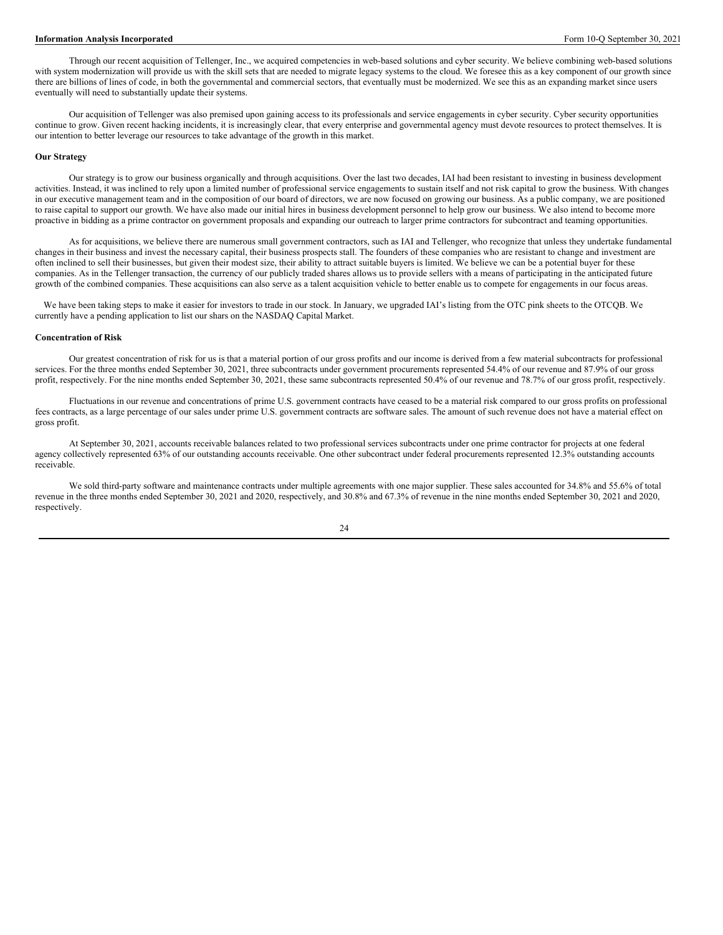Through our recent acquisition of Tellenger, Inc., we acquired competencies in web-based solutions and cyber security. We believe combining web-based solutions with system modernization will provide us with the skill sets that are needed to migrate legacy systems to the cloud. We foresee this as a key component of our growth since there are billions of lines of code, in both the governmental and commercial sectors, that eventually must be modernized. We see this as an expanding market since users eventually will need to substantially update their systems.

Our acquisition of Tellenger was also premised upon gaining access to its professionals and service engagements in cyber security. Cyber security opportunities continue to grow. Given recent hacking incidents, it is increasingly clear, that every enterprise and governmental agency must devote resources to protect themselves. It is our intention to better leverage our resources to take advantage of the growth in this market.

# **Our Strategy**

Our strategy is to grow our business organically and through acquisitions. Over the last two decades, IAI had been resistant to investing in business development activities. Instead, it was inclined to rely upon a limited number of professional service engagements to sustain itself and not risk capital to grow the business. With changes in our executive management team and in the composition of our board of directors, we are now focused on growing our business. As a public company, we are positioned to raise capital to support our growth. We have also made our initial hires in business development personnel to help grow our business. We also intend to become more proactive in bidding as a prime contractor on government proposals and expanding our outreach to larger prime contractors for subcontract and teaming opportunities.

As for acquisitions, we believe there are numerous small government contractors, such as IAI and Tellenger, who recognize that unless they undertake fundamental changes in their business and invest the necessary capital, their business prospects stall. The founders of these companies who are resistant to change and investment are often inclined to sell their businesses, but given their modest size, their ability to attract suitable buyers is limited. We believe we can be a potential buyer for these companies. As in the Tellenger transaction, the currency of our publicly traded shares allows us to provide sellers with a means of participating in the anticipated future growth of the combined companies. These acquisitions can also serve as a talent acquisition vehicle to better enable us to compete for engagements in our focus areas.

We have been taking steps to make it easier for investors to trade in our stock. In January, we upgraded IAI's listing from the OTC pink sheets to the OTCQB. We currently have a pending application to list our shars on the NASDAQ Capital Market.

### **Concentration of Risk**

Our greatest concentration of risk for us is that a material portion of our gross profits and our income is derived from a few material subcontracts for professional services. For the three months ended September 30, 2021, three subcontracts under government procurements represented 54.4% of our revenue and 87.9% of our gross profit, respectively. For the nine months ended September 30, 2021, these same subcontracts represented 50.4% of our revenue and 78.7% of our gross profit, respectively.

Fluctuations in our revenue and concentrations of prime U.S. government contracts have ceased to be a material risk compared to our gross profits on professional fees contracts, as a large percentage of our sales under prime U.S. government contracts are software sales. The amount of such revenue does not have a material effect on gross profit.

At September 30, 2021, accounts receivable balances related to two professional services subcontracts under one prime contractor for projects at one federal agency collectively represented 63% of our outstanding accounts receivable. One other subcontract under federal procurements represented 12.3% outstanding accounts receivable.

We sold third-party software and maintenance contracts under multiple agreements with one major supplier. These sales accounted for 34.8% and 55.6% of total revenue in the three months ended September 30, 2021 and 2020, respectively, and 30.8% and 67.3% of revenue in the nine months ended September 30, 2021 and 2020, respectively.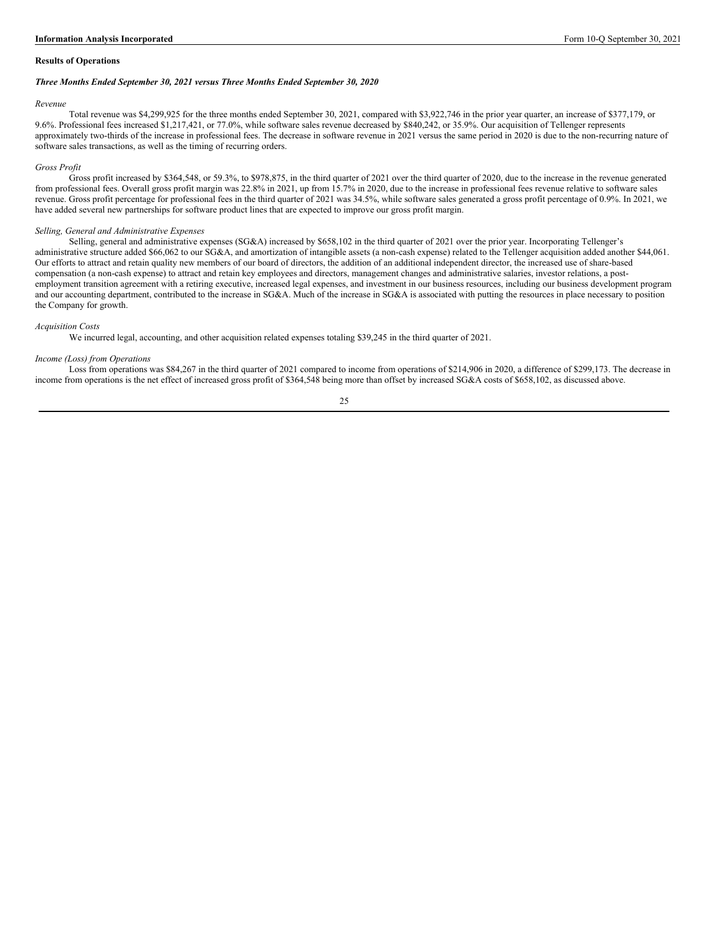#### **Results of Operations**

#### *Three Months Ended September 30, 2021 versus Three Months Ended September 30, 2020*

#### *Revenue*

Total revenue was \$4,299,925 for the three months ended September 30, 2021, compared with \$3,922,746 in the prior year quarter, an increase of \$377,179, or 9.6%. Professional fees increased \$1,217,421, or 77.0%, while software sales revenue decreased by \$840,242, or 35.9%. Our acquisition of Tellenger represents approximately two-thirds of the increase in professional fees. The decrease in software revenue in 2021 versus the same period in 2020 is due to the non-recurring nature of software sales transactions, as well as the timing of recurring orders.

## *Gross Profit*

Gross profit increased by \$364,548, or 59.3%, to \$978,875, in the third quarter of 2021 over the third quarter of 2020, due to the increase in the revenue generated from professional fees. Overall gross profit margin was 22.8% in 2021, up from 15.7% in 2020, due to the increase in professional fees revenue relative to software sales revenue. Gross profit percentage for professional fees in the third quarter of 2021 was 34.5%, while software sales generated a gross profit percentage of 0.9%. In 2021, we have added several new partnerships for software product lines that are expected to improve our gross profit margin.

#### *Selling, General and Administrative Expenses*

Selling, general and administrative expenses (SG&A) increased by \$658,102 in the third quarter of 2021 over the prior year. Incorporating Tellenger's administrative structure added \$66,062 to our SG&A, and amortization of intangible assets (a non-cash expense) related to the Tellenger acquisition added another \$44,061. Our efforts to attract and retain quality new members of our board of directors, the addition of an additional independent director, the increased use of share-based compensation (a non-cash expense) to attract and retain key employees and directors, management changes and administrative salaries, investor relations, a postemployment transition agreement with a retiring executive, increased legal expenses, and investment in our business resources, including our business development program and our accounting department, contributed to the increase in SG&A. Much of the increase in SG&A is associated with putting the resources in place necessary to position the Company for growth.

### *Acquisition Costs*

We incurred legal, accounting, and other acquisition related expenses totaling \$39,245 in the third quarter of 2021.

## *Income (Loss) from Operations*

Loss from operations was \$84,267 in the third quarter of 2021 compared to income from operations of \$214,906 in 2020, a difference of \$299,173. The decrease in income from operations is the net effect of increased gross profit of \$364,548 being more than offset by increased SG&A costs of \$658,102, as discussed above.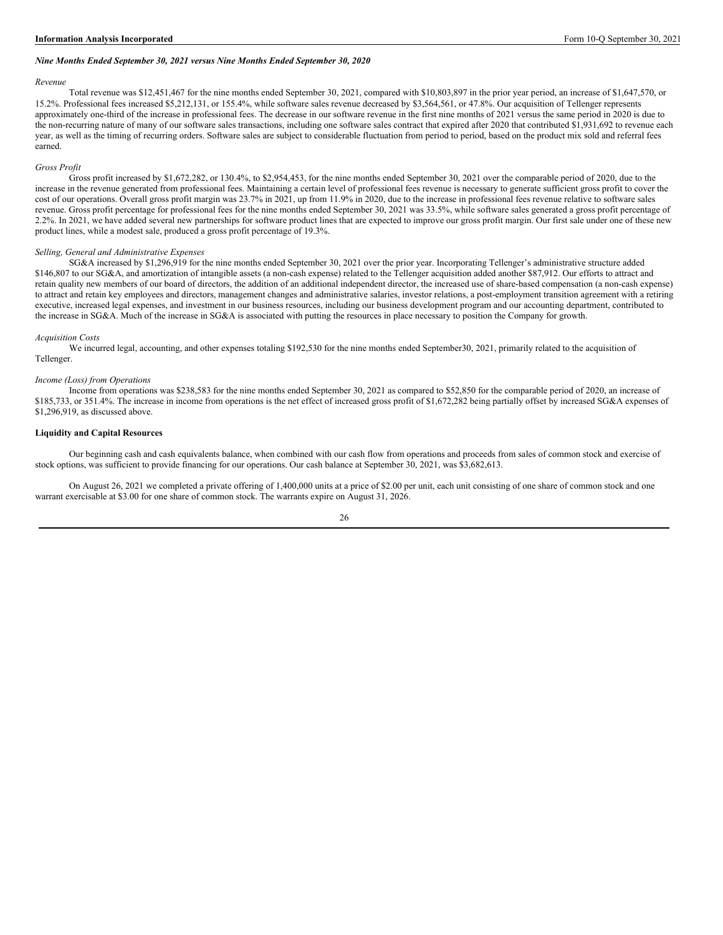#### *Nine Months Ended September 30, 2021 versus Nine Months Ended September 30, 2020*

#### *Revenue*

Total revenue was \$12,451,467 for the nine months ended September 30, 2021, compared with \$10,803,897 in the prior year period, an increase of \$1,647,570, or 15.2%. Professional fees increased \$5,212,131, or 155.4%, while software sales revenue decreased by \$3,564,561, or 47.8%. Our acquisition of Tellenger represents approximately one-third of the increase in professional fees. The decrease in our software revenue in the first nine months of 2021 versus the same period in 2020 is due to the non-recurring nature of many of our software sales transactions, including one software sales contract that expired after 2020 that contributed \$1,931,692 to revenue each year, as well as the timing of recurring orders. Software sales are subject to considerable fluctuation from period to period, based on the product mix sold and referral fees earned.

#### *Gross Profit*

Gross profit increased by \$1,672,282, or 130.4%, to \$2,954,453, for the nine months ended September 30, 2021 over the comparable period of 2020, due to the increase in the revenue generated from professional fees. Maintaining a certain level of professional fees revenue is necessary to generate sufficient gross profit to cover the cost of our operations. Overall gross profit margin was 23.7% in 2021, up from 11.9% in 2020, due to the increase in professional fees revenue relative to software sales revenue. Gross profit percentage for professional fees for the nine months ended September 30, 2021 was 33.5%, while software sales generated a gross profit percentage of 2.2%. In 2021, we have added several new partnerships for software product lines that are expected to improve our gross profit margin. Our first sale under one of these new product lines, while a modest sale, produced a gross profit percentage of 19.3%.

# *Selling, General and Administrative Expenses*

SG&A increased by \$1,296,919 for the nine months ended September 30, 2021 over the prior year. Incorporating Tellenger's administrative structure added \$146,807 to our SG&A, and amortization of intangible assets (a non-cash expense) related to the Tellenger acquisition added another \$87,912. Our efforts to attract and retain quality new members of our board of directors, the addition of an additional independent director, the increased use of share-based compensation (a non-cash expense) to attract and retain key employees and directors, management changes and administrative salaries, investor relations, a post-employment transition agreement with a retiring executive, increased legal expenses, and investment in our business resources, including our business development program and our accounting department, contributed to the increase in SG&A. Much of the increase in SG&A is associated with putting the resources in place necessary to position the Company for growth.

#### *Acquisition Costs*

We incurred legal, accounting, and other expenses totaling \$192,530 for the nine months ended September30, 2021, primarily related to the acquisition of Tellenger.

#### *Income (Loss) from Operations*

Income from operations was \$238,583 for the nine months ended September 30, 2021 as compared to \$52,850 for the comparable period of 2020, an increase of \$185,733, or 351.4%. The increase in income from operations is the net effect of increased gross profit of \$1,672,282 being partially offset by increased SG&A expenses of \$1,296,919, as discussed above.

### **Liquidity and Capital Resources**

Our beginning cash and cash equivalents balance, when combined with our cash flow from operations and proceeds from sales of common stock and exercise of stock options, was sufficient to provide financing for our operations. Our cash balance at September 30, 2021, was \$3,682,613.

On August 26, 2021 we completed a private offering of 1,400,000 units at a price of \$2.00 per unit, each unit consisting of one share of common stock and one warrant exercisable at \$3.00 for one share of common stock. The warrants expire on August 31, 2026.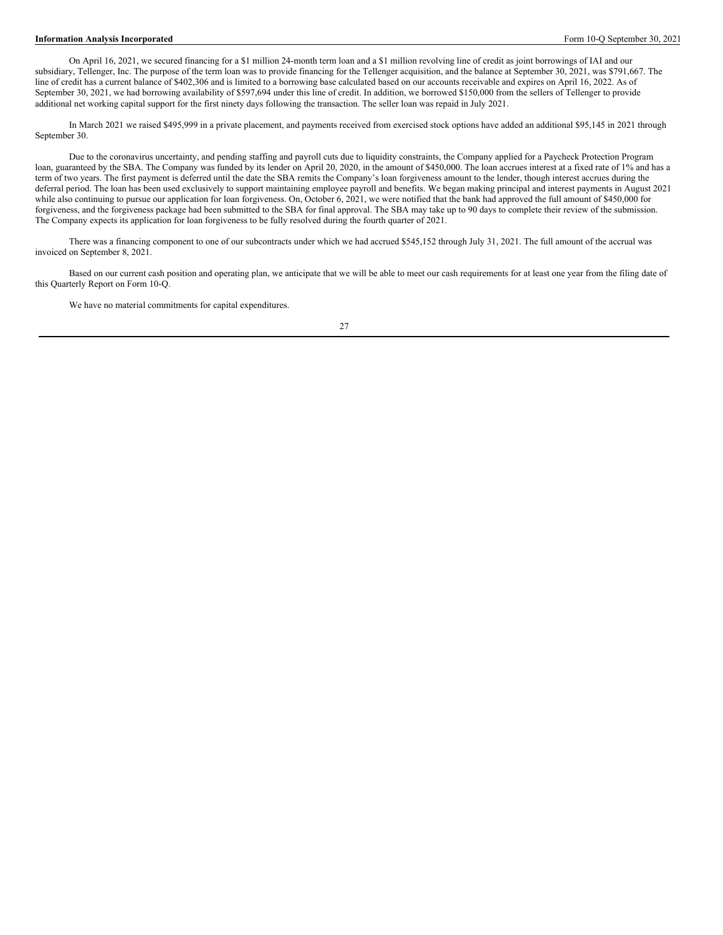### **Information Analysis Incorporated** Form 10-Q September 30, 2021

On April 16, 2021, we secured financing for a \$1 million 24-month term loan and a \$1 million revolving line of credit as joint borrowings of IAI and our subsidiary, Tellenger, Inc. The purpose of the term loan was to provide financing for the Tellenger acquisition, and the balance at September 30, 2021, was \$791,667. The line of credit has a current balance of \$402,306 and is limited to a borrowing base calculated based on our accounts receivable and expires on April 16, 2022. As of September 30, 2021, we had borrowing availability of \$597,694 under this line of credit. In addition, we borrowed \$150,000 from the sellers of Tellenger to provide additional net working capital support for the first ninety days following the transaction. The seller loan was repaid in July 2021.

In March 2021 we raised \$495,999 in a private placement, and payments received from exercised stock options have added an additional \$95,145 in 2021 through September 30.

Due to the coronavirus uncertainty, and pending staffing and payroll cuts due to liquidity constraints, the Company applied for a Paycheck Protection Program loan, guaranteed by the SBA. The Company was funded by its lender on April 20, 2020, in the amount of \$450,000. The loan accrues interest at a fixed rate of 1% and has a term of two years. The first payment is deferred until the date the SBA remits the Company's loan forgiveness amount to the lender, though interest accrues during the deferral period. The loan has been used exclusively to support maintaining employee payroll and benefits. We began making principal and interest payments in August 2021 while also continuing to pursue our application for loan forgiveness. On, October 6, 2021, we were notified that the bank had approved the full amount of \$450,000 for forgiveness, and the forgiveness package had been submitted to the SBA for final approval. The SBA may take up to 90 days to complete their review of the submission. The Company expects its application for loan forgiveness to be fully resolved during the fourth quarter of 2021.

There was a financing component to one of our subcontracts under which we had accrued \$545,152 through July 31, 2021. The full amount of the accrual was invoiced on September 8, 2021.

Based on our current cash position and operating plan, we anticipate that we will be able to meet our cash requirements for at least one year from the filing date of this Quarterly Report on Form 10-Q.

We have no material commitments for capital expenditures.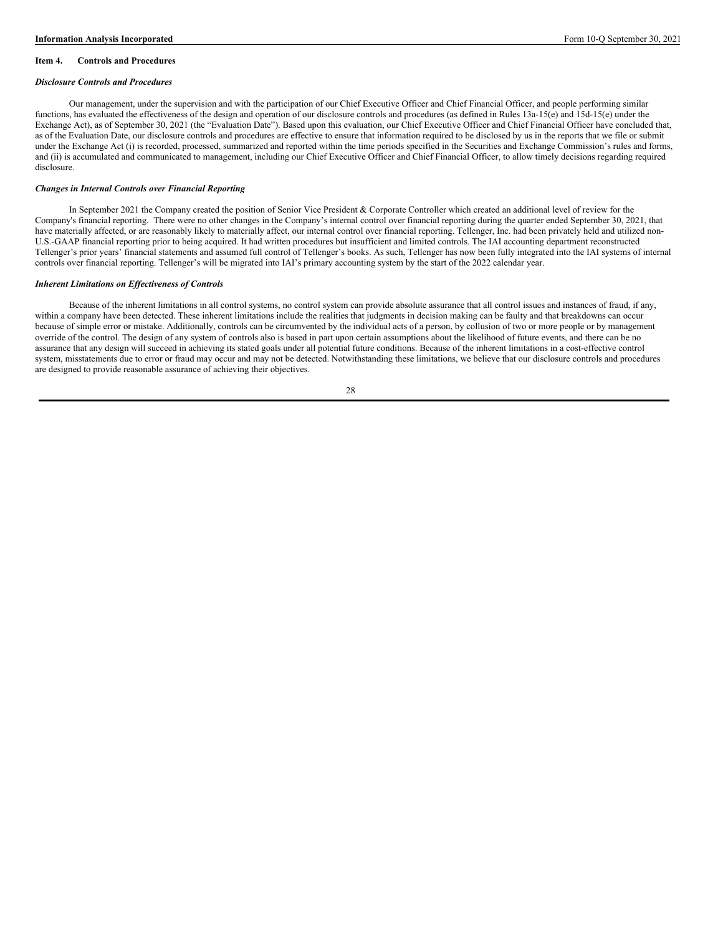#### **Item 4. Controls and Procedures**

### *Disclosure Controls and Procedures*

Our management, under the supervision and with the participation of our Chief Executive Officer and Chief Financial Officer, and people performing similar functions, has evaluated the effectiveness of the design and operation of our disclosure controls and procedures (as defined in Rules 13a-15(e) and 15d-15(e) under the Exchange Act), as of September 30, 2021 (the "Evaluation Date"). Based upon this evaluation, our Chief Executive Officer and Chief Financial Officer have concluded that, as of the Evaluation Date, our disclosure controls and procedures are effective to ensure that information required to be disclosed by us in the reports that we file or submit under the Exchange Act (i) is recorded, processed, summarized and reported within the time periods specified in the Securities and Exchange Commission's rules and forms, and (ii) is accumulated and communicated to management, including our Chief Executive Officer and Chief Financial Officer, to allow timely decisions regarding required disclosure.

### *Changes in Internal Controls over Financial Reporting*

In September 2021 the Company created the position of Senior Vice President & Corporate Controller which created an additional level of review for the Company's financial reporting. There were no other changes in the Company's internal control over financial reporting during the quarter ended September 30, 2021, that have materially affected, or are reasonably likely to materially affect, our internal control over financial reporting. Tellenger, Inc. had been privately held and utilized non-U.S.-GAAP financial reporting prior to being acquired. It had written procedures but insufficient and limited controls. The IAI accounting department reconstructed Tellenger's prior years' financial statements and assumed full control of Tellenger's books. As such, Tellenger has now been fully integrated into the IAI systems of internal controls over financial reporting. Tellenger's will be migrated into IAI's primary accounting system by the start of the 2022 calendar year.

### *Inherent Limitations on Ef ectiveness of Controls*

Because of the inherent limitations in all control systems, no control system can provide absolute assurance that all control issues and instances of fraud, if any, within a company have been detected. These inherent limitations include the realities that judgments in decision making can be faulty and that breakdowns can occur because of simple error or mistake. Additionally, controls can be circumvented by the individual acts of a person, by collusion of two or more people or by management override of the control. The design of any system of controls also is based in part upon certain assumptions about the likelihood of future events, and there can be no assurance that any design will succeed in achieving its stated goals under all potential future conditions. Because of the inherent limitations in a cost-effective control system, misstatements due to error or fraud may occur and may not be detected. Notwithstanding these limitations, we believe that our disclosure controls and procedures are designed to provide reasonable assurance of achieving their objectives.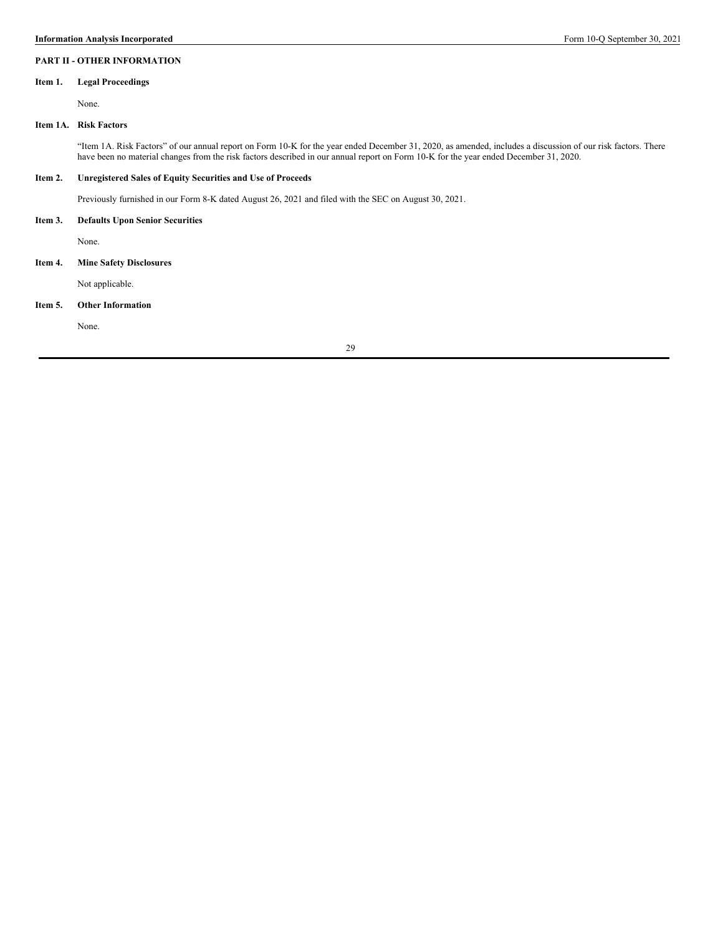# **PART II - OTHER INFORMATION**

# **Item 1. Legal Proceedings**

None.

# **Item 1A. Risk Factors**

"Item 1A. Risk Factors" of our annual report on Form 10-K for the year ended December 31, 2020, as amended, includes a discussion of our risk factors. There have been no material changes from the risk factors described in our annual report on Form 10-K for the year ended December 31, 2020.

# **Item 2. Unregistered Sales of Equity Securities and Use of Proceeds**

Previously furnished in our Form 8-K dated August 26, 2021 and filed with the SEC on August 30, 2021.

# **Item 3. Defaults Upon Senior Securities**

None.

# **Item 4. Mine Safety Disclosures**

Not applicable.

# **Item 5. Other Information**

None.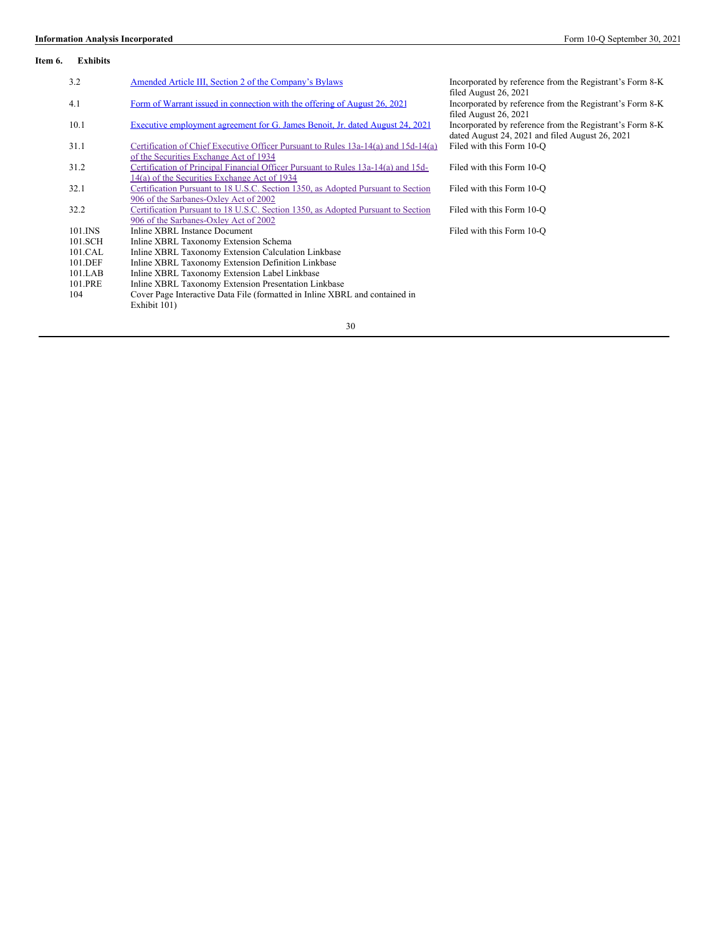| Item 6. | <b>Exhibits</b> |                                                                                                                                   |                                                                                                             |
|---------|-----------------|-----------------------------------------------------------------------------------------------------------------------------------|-------------------------------------------------------------------------------------------------------------|
|         | 3.2             | Amended Article III, Section 2 of the Company's Bylaws                                                                            | Incorporated by reference from the Registrant's Form 8-K<br>filed August 26, 2021                           |
|         | 4.1             | Form of Warrant issued in connection with the offering of August 26, 2021                                                         | Incorporated by reference from the Registrant's Form 8-K<br>filed August 26, 2021                           |
|         | 10.1            | Executive employment agreement for G. James Benoit, Jr. dated August 24, 2021                                                     | Incorporated by reference from the Registrant's Form 8-K<br>dated August 24, 2021 and filed August 26, 2021 |
|         | 31.1            | Certification of Chief Executive Officer Pursuant to Rules 13a-14(a) and 15d-14(a)<br>of the Securities Exchange Act of 1934      | Filed with this Form 10-Q                                                                                   |
|         | 31.2            | Certification of Principal Financial Officer Pursuant to Rules 13a-14(a) and 15d-<br>14(a) of the Securities Exchange Act of 1934 | Filed with this Form 10-Q                                                                                   |
|         | 32.1            | Certification Pursuant to 18 U.S.C. Section 1350, as Adopted Pursuant to Section<br>906 of the Sarbanes-Oxley Act of 2002         | Filed with this Form 10-Q                                                                                   |
|         | 32.2            | Certification Pursuant to 18 U.S.C. Section 1350, as Adopted Pursuant to Section<br>906 of the Sarbanes-Oxley Act of 2002         | Filed with this Form 10-Q                                                                                   |
|         | 101.INS         | Inline XBRL Instance Document                                                                                                     | Filed with this Form 10-Q                                                                                   |
|         | 101.SCH         | Inline XBRL Taxonomy Extension Schema                                                                                             |                                                                                                             |
|         | 101.CAL         | Inline XBRL Taxonomy Extension Calculation Linkbase                                                                               |                                                                                                             |
|         | 101.DEF         | Inline XBRL Taxonomy Extension Definition Linkbase                                                                                |                                                                                                             |
|         | 101.LAB         | Inline XBRL Taxonomy Extension Label Linkbase                                                                                     |                                                                                                             |
|         | 101.PRE         | Inline XBRL Taxonomy Extension Presentation Linkbase                                                                              |                                                                                                             |
|         | 104             | Cover Page Interactive Data File (formatted in Inline XBRL and contained in                                                       |                                                                                                             |
|         |                 | Exhibit 101)                                                                                                                      |                                                                                                             |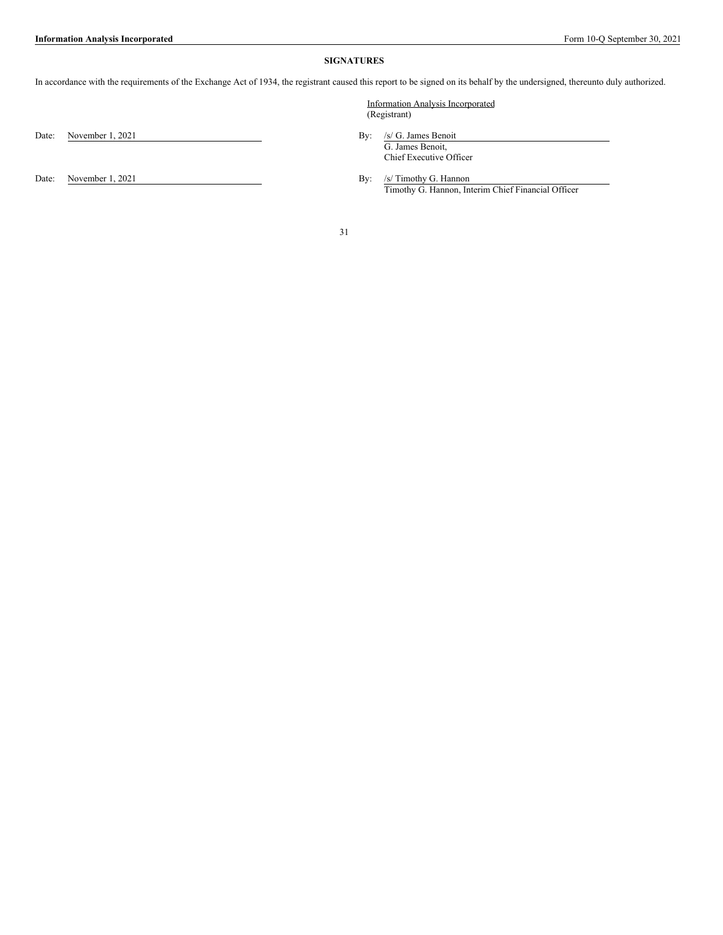# **SIGNATURES**

In accordance with the requirements of the Exchange Act of 1934, the registrant caused this report to be signed on its behalf by the undersigned, thereunto duly authorized.

Date: November 1, 2021 By: /s/ G. James Benoit

Date: November 1, 2021 By: /s/ Timothy G. Hannon

Information Analysis Incorporated (Registrant)

G. James Benoit, Chief Executive Officer

Timothy G. Hannon, Interim Chief Financial Officer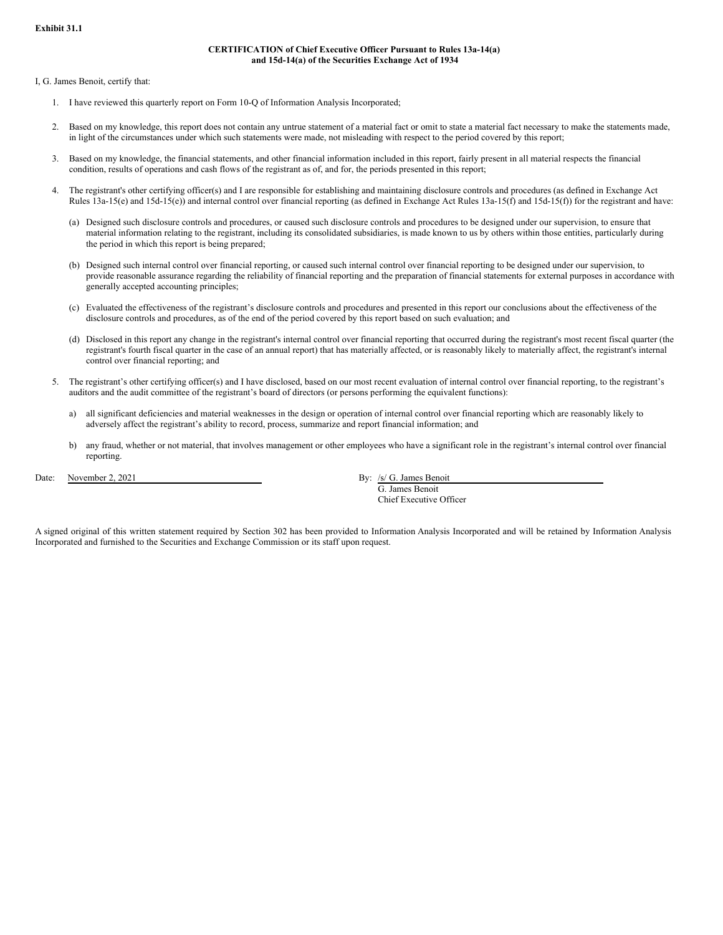# **CERTIFICATION of Chief Executive Officer Pursuant to Rules 13a-14(a) and 15d-14(a) of the Securities Exchange Act of 1934**

<span id="page-31-0"></span>I, G. James Benoit, certify that:

- 1. I have reviewed this quarterly report on Form 10-Q of Information Analysis Incorporated;
- 2. Based on my knowledge, this report does not contain any untrue statement of a material fact or omit to state a material fact necessary to make the statements made, in light of the circumstances under which such statements were made, not misleading with respect to the period covered by this report;
- 3. Based on my knowledge, the financial statements, and other financial information included in this report, fairly present in all material respects the financial condition, results of operations and cash flows of the registrant as of, and for, the periods presented in this report;
- 4. The registrant's other certifying officer(s) and I are responsible for establishing and maintaining disclosure controls and procedures (as defined in Exchange Act Rules 13a-15(e) and 15d-15(e)) and internal control over financial reporting (as defined in Exchange Act Rules 13a-15(f) and 15d-15(f)) for the registrant and have:
	- (a) Designed such disclosure controls and procedures, or caused such disclosure controls and procedures to be designed under our supervision, to ensure that material information relating to the registrant, including its consolidated subsidiaries, is made known to us by others within those entities, particularly during the period in which this report is being prepared;
	- (b) Designed such internal control over financial reporting, or caused such internal control over financial reporting to be designed under our supervision, to provide reasonable assurance regarding the reliability of financial reporting and the preparation of financial statements for external purposes in accordance with generally accepted accounting principles;
	- (c) Evaluated the effectiveness of the registrant's disclosure controls and procedures and presented in this report our conclusions about the effectiveness of the disclosure controls and procedures, as of the end of the period covered by this report based on such evaluation; and
	- (d) Disclosed in this report any change in the registrant's internal control over financial reporting that occurred during the registrant's most recent fiscal quarter (the registrant's fourth fiscal quarter in the case of an annual report) that has materially affected, or is reasonably likely to materially affect, the registrant's internal control over financial reporting; and
- 5. The registrant's other certifying officer(s) and I have disclosed, based on our most recent evaluation of internal control over financial reporting, to the registrant's auditors and the audit committee of the registrant's board of directors (or persons performing the equivalent functions):
	- a) all significant deficiencies and material weaknesses in the design or operation of internal control over financial reporting which are reasonably likely to adversely affect the registrant's ability to record, process, summarize and report financial information; and
	- b) any fraud, whether or not material, that involves management or other employees who have a significant role in the registrant's internal control over financial reporting.

Date: November 2, 2021 By: /s/ G. James Benoit

G. James Benoit Chief Executive Officer

A signed original of this written statement required by Section 302 has been provided to Information Analysis Incorporated and will be retained by Information Analysis Incorporated and furnished to the Securities and Exchange Commission or its staff upon request.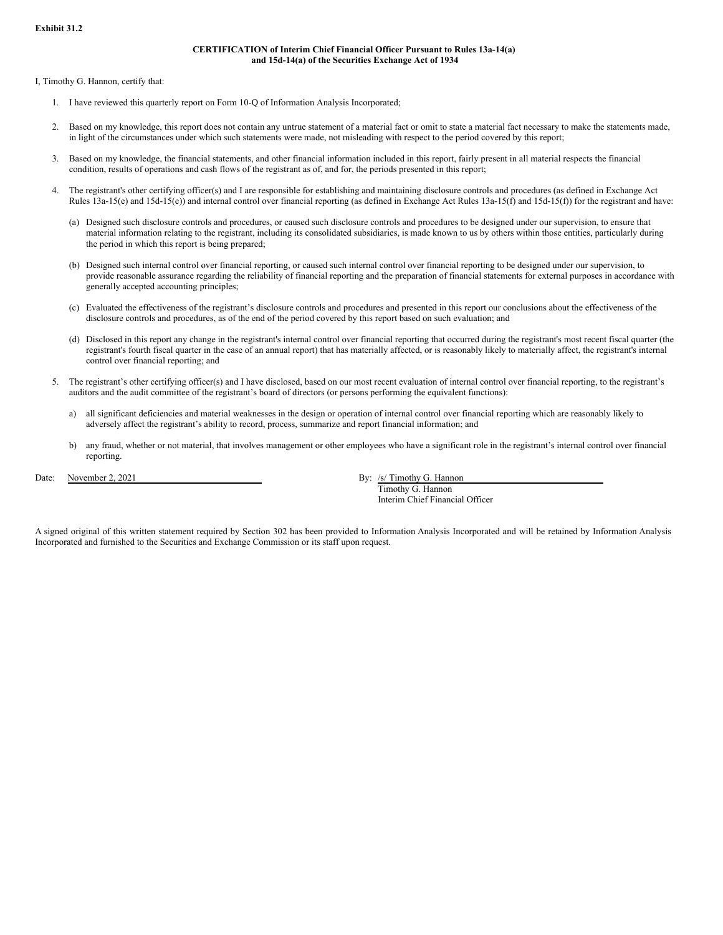# **CERTIFICATION of Interim Chief Financial Officer Pursuant to Rules 13a-14(a) and 15d-14(a) of the Securities Exchange Act of 1934**

<span id="page-32-0"></span>I, Timothy G. Hannon, certify that:

- 1. I have reviewed this quarterly report on Form 10-Q of Information Analysis Incorporated;
- 2. Based on my knowledge, this report does not contain any untrue statement of a material fact or omit to state a material fact necessary to make the statements made, in light of the circumstances under which such statements were made, not misleading with respect to the period covered by this report;
- 3. Based on my knowledge, the financial statements, and other financial information included in this report, fairly present in all material respects the financial condition, results of operations and cash flows of the registrant as of, and for, the periods presented in this report;
- 4. The registrant's other certifying officer(s) and I are responsible for establishing and maintaining disclosure controls and procedures (as defined in Exchange Act Rules 13a-15(e) and 15d-15(e)) and internal control over financial reporting (as defined in Exchange Act Rules 13a-15(f) and 15d-15(f)) for the registrant and have:
	- (a) Designed such disclosure controls and procedures, or caused such disclosure controls and procedures to be designed under our supervision, to ensure that material information relating to the registrant, including its consolidated subsidiaries, is made known to us by others within those entities, particularly during the period in which this report is being prepared;
	- (b) Designed such internal control over financial reporting, or caused such internal control over financial reporting to be designed under our supervision, to provide reasonable assurance regarding the reliability of financial reporting and the preparation of financial statements for external purposes in accordance with generally accepted accounting principles;
	- (c) Evaluated the effectiveness of the registrant's disclosure controls and procedures and presented in this report our conclusions about the effectiveness of the disclosure controls and procedures, as of the end of the period covered by this report based on such evaluation; and
	- (d) Disclosed in this report any change in the registrant's internal control over financial reporting that occurred during the registrant's most recent fiscal quarter (the registrant's fourth fiscal quarter in the case of an annual report) that has materially affected, or is reasonably likely to materially affect, the registrant's internal control over financial reporting; and
- 5. The registrant's other certifying officer(s) and I have disclosed, based on our most recent evaluation of internal control over financial reporting, to the registrant's auditors and the audit committee of the registrant's board of directors (or persons performing the equivalent functions):
	- a) all significant deficiencies and material weaknesses in the design or operation of internal control over financial reporting which are reasonably likely to adversely affect the registrant's ability to record, process, summarize and report financial information; and
	- b) any fraud, whether or not material, that involves management or other employees who have a significant role in the registrant's internal control over financial reporting.

Date: November 2, 2021 By: /s/ Timothy G. Hannon

Timothy G. Hannon Interim Chief Financial Officer

A signed original of this written statement required by Section 302 has been provided to Information Analysis Incorporated and will be retained by Information Analysis Incorporated and furnished to the Securities and Exchange Commission or its staff upon request.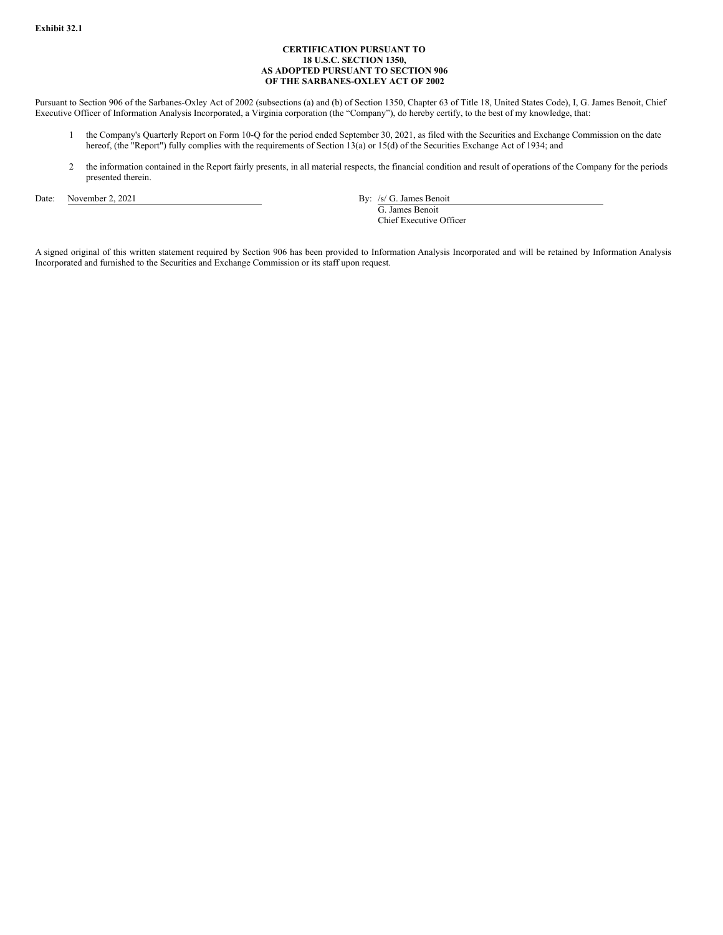# **CERTIFICATION PURSUANT TO 18 U.S.C. SECTION 1350, AS ADOPTED PURSUANT TO SECTION 906 OF THE SARBANES-OXLEY ACT OF 2002**

<span id="page-33-0"></span>Pursuant to Section 906 of the Sarbanes-Oxley Act of 2002 (subsections (a) and (b) of Section 1350, Chapter 63 of Title 18, United States Code), I, G. James Benoit, Chief Executive Officer of Information Analysis Incorporated, a Virginia corporation (the "Company"), do hereby certify, to the best of my knowledge, that:

- 1 the Company's Quarterly Report on Form 10-Q for the period ended September 30, 2021, as filed with the Securities and Exchange Commission on the date hereof, (the "Report") fully complies with the requirements of Section 13(a) or 15(d) of the Securities Exchange Act of 1934; and
- 2 the information contained in the Report fairly presents, in all material respects, the financial condition and result of operations of the Company for the periods presented therein.

Date: November 2, 2021 By: /s/ G. James Benoit

G. James Benoit Chief Executive Officer

A signed original of this written statement required by Section 906 has been provided to Information Analysis Incorporated and will be retained by Information Analysis Incorporated and furnished to the Securities and Exchange Commission or its staff upon request.